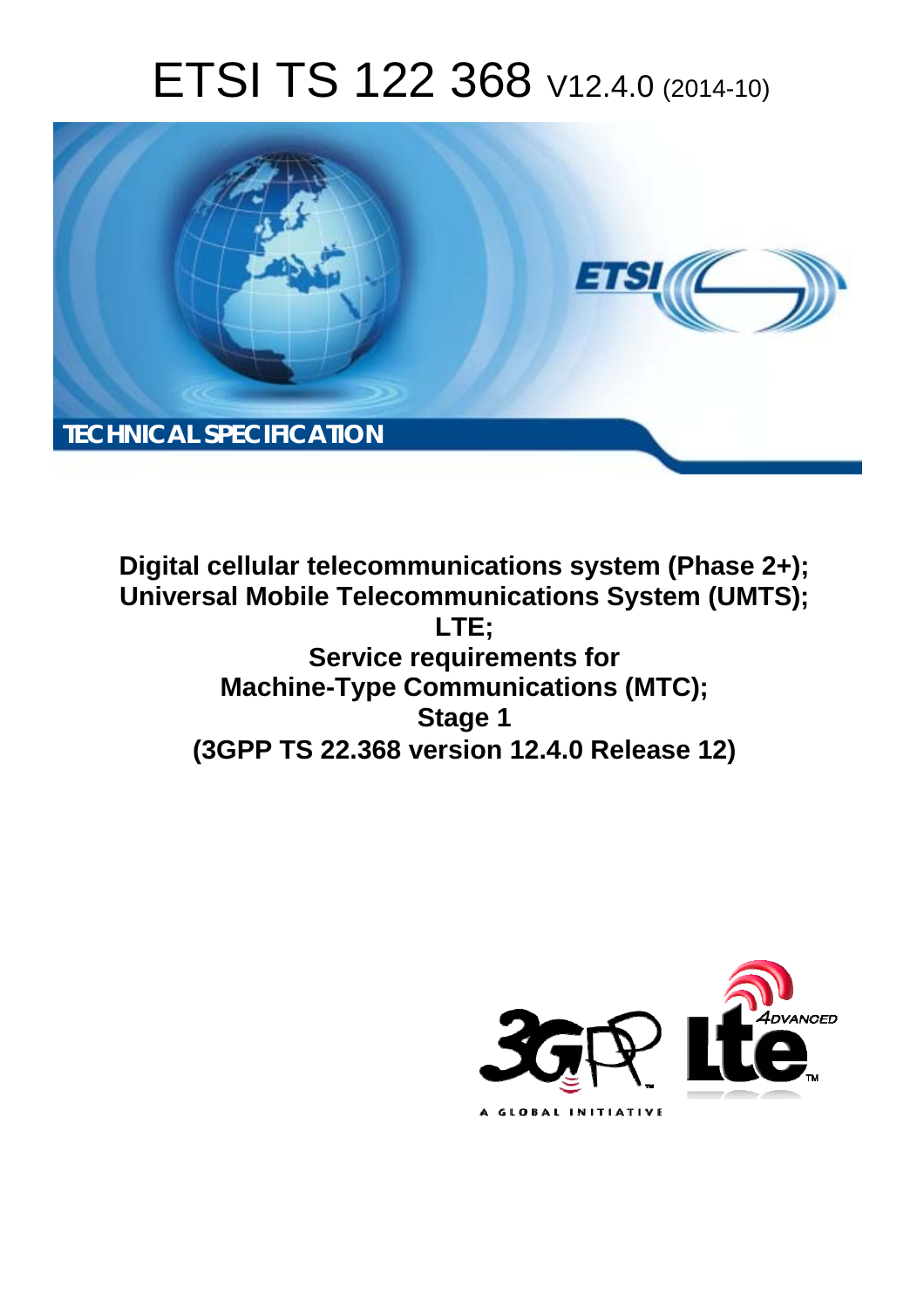# ETSI TS 122 368 V12.4.0 (2014-10)



**Digital cellular telecommunications system (Phase 2+); Universal Mobile Telecommunications System (UMTS); LTE; Service requirements for Machine-Type Communications (MTC); Stage 1 (3GPP TS 22.368 version 12.4.0 Release 12)** 

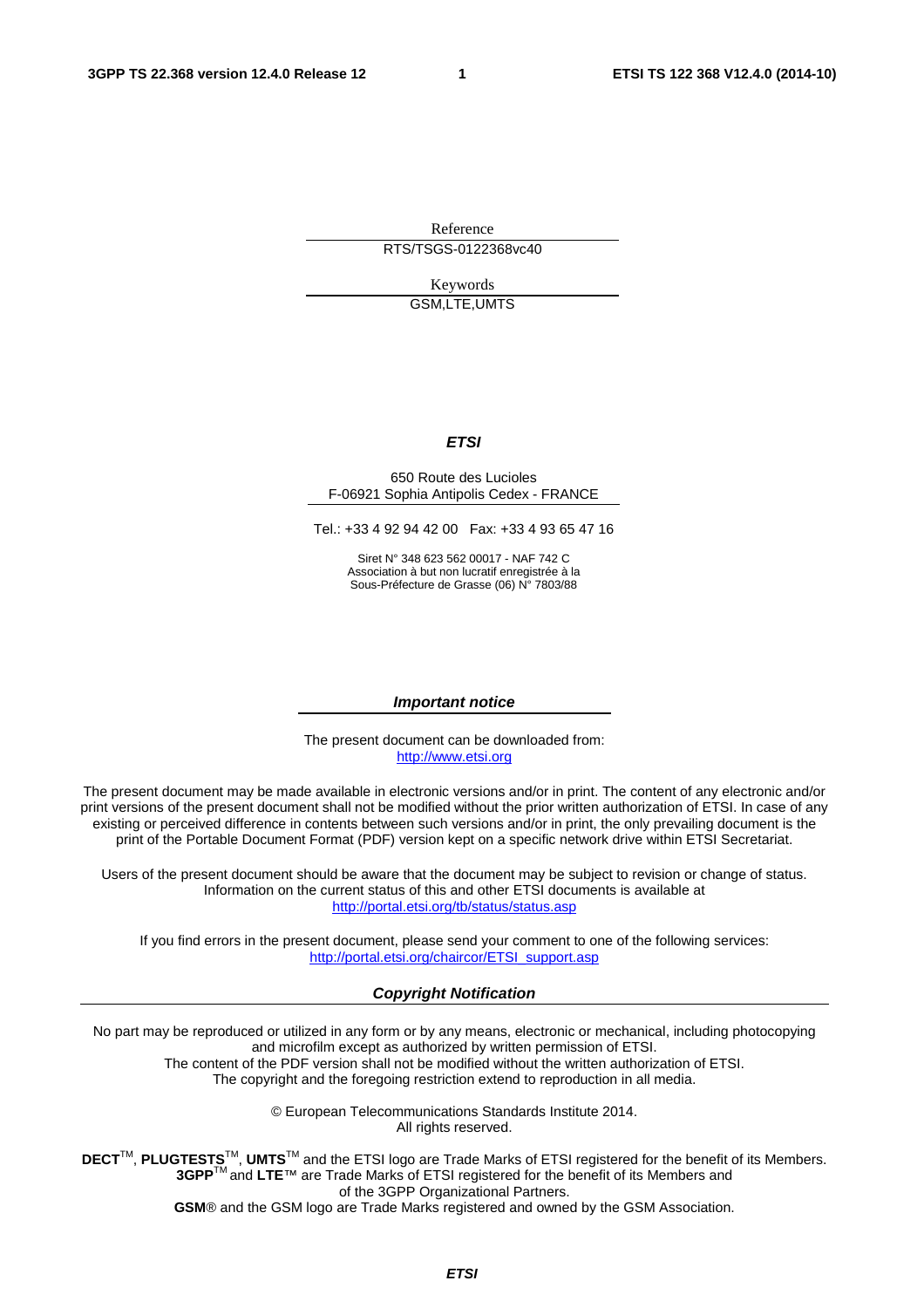Reference RTS/TSGS-0122368vc40

> Keywords GSM,LTE,UMTS

#### *ETSI*

#### 650 Route des Lucioles F-06921 Sophia Antipolis Cedex - FRANCE

Tel.: +33 4 92 94 42 00 Fax: +33 4 93 65 47 16

Siret N° 348 623 562 00017 - NAF 742 C Association à but non lucratif enregistrée à la Sous-Préfecture de Grasse (06) N° 7803/88

#### *Important notice*

The present document can be downloaded from: [http://www.etsi.org](http://www.etsi.org/)

The present document may be made available in electronic versions and/or in print. The content of any electronic and/or print versions of the present document shall not be modified without the prior written authorization of ETSI. In case of any existing or perceived difference in contents between such versions and/or in print, the only prevailing document is the print of the Portable Document Format (PDF) version kept on a specific network drive within ETSI Secretariat.

Users of the present document should be aware that the document may be subject to revision or change of status. Information on the current status of this and other ETSI documents is available at <http://portal.etsi.org/tb/status/status.asp>

If you find errors in the present document, please send your comment to one of the following services: [http://portal.etsi.org/chaircor/ETSI\\_support.asp](http://portal.etsi.org/chaircor/ETSI_support.asp)

#### *Copyright Notification*

No part may be reproduced or utilized in any form or by any means, electronic or mechanical, including photocopying and microfilm except as authorized by written permission of ETSI.

The content of the PDF version shall not be modified without the written authorization of ETSI. The copyright and the foregoing restriction extend to reproduction in all media.

> © European Telecommunications Standards Institute 2014. All rights reserved.

**DECT**TM, **PLUGTESTS**TM, **UMTS**TM and the ETSI logo are Trade Marks of ETSI registered for the benefit of its Members. **3GPP**TM and **LTE**™ are Trade Marks of ETSI registered for the benefit of its Members and of the 3GPP Organizational Partners.

**GSM**® and the GSM logo are Trade Marks registered and owned by the GSM Association.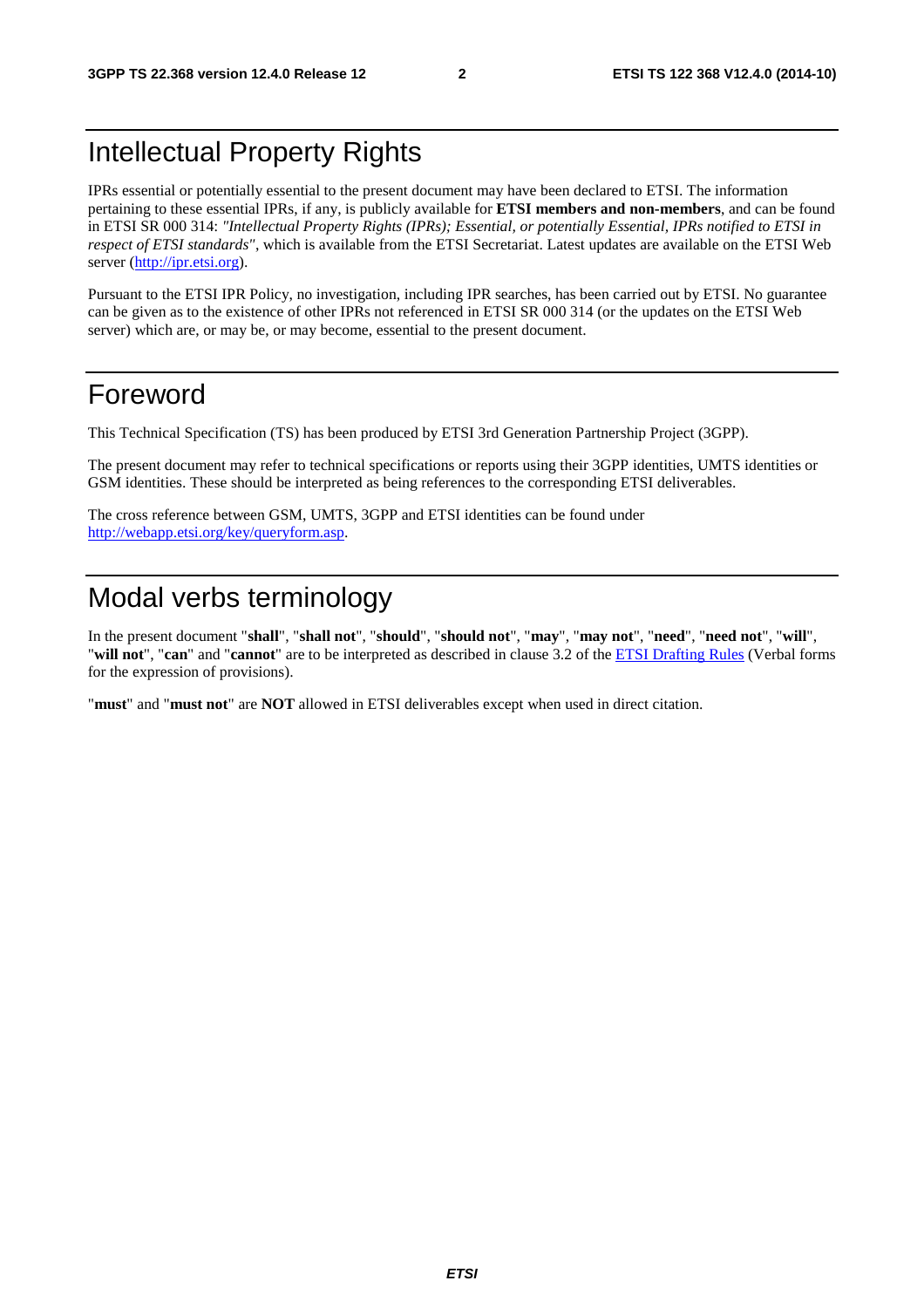### Intellectual Property Rights

IPRs essential or potentially essential to the present document may have been declared to ETSI. The information pertaining to these essential IPRs, if any, is publicly available for **ETSI members and non-members**, and can be found in ETSI SR 000 314: *"Intellectual Property Rights (IPRs); Essential, or potentially Essential, IPRs notified to ETSI in respect of ETSI standards"*, which is available from the ETSI Secretariat. Latest updates are available on the ETSI Web server [\(http://ipr.etsi.org](http://webapp.etsi.org/IPR/home.asp)).

Pursuant to the ETSI IPR Policy, no investigation, including IPR searches, has been carried out by ETSI. No guarantee can be given as to the existence of other IPRs not referenced in ETSI SR 000 314 (or the updates on the ETSI Web server) which are, or may be, or may become, essential to the present document.

### Foreword

This Technical Specification (TS) has been produced by ETSI 3rd Generation Partnership Project (3GPP).

The present document may refer to technical specifications or reports using their 3GPP identities, UMTS identities or GSM identities. These should be interpreted as being references to the corresponding ETSI deliverables.

The cross reference between GSM, UMTS, 3GPP and ETSI identities can be found under [http://webapp.etsi.org/key/queryform.asp.](http://webapp.etsi.org/key/queryform.asp)

### Modal verbs terminology

In the present document "**shall**", "**shall not**", "**should**", "**should not**", "**may**", "**may not**", "**need**", "**need not**", "**will**", "**will not**", "**can**" and "**cannot**" are to be interpreted as described in clause 3.2 of the [ETSI Drafting Rules](http://portal.etsi.org/Help/editHelp!/Howtostart/ETSIDraftingRules.aspx) (Verbal forms for the expression of provisions).

"**must**" and "**must not**" are **NOT** allowed in ETSI deliverables except when used in direct citation.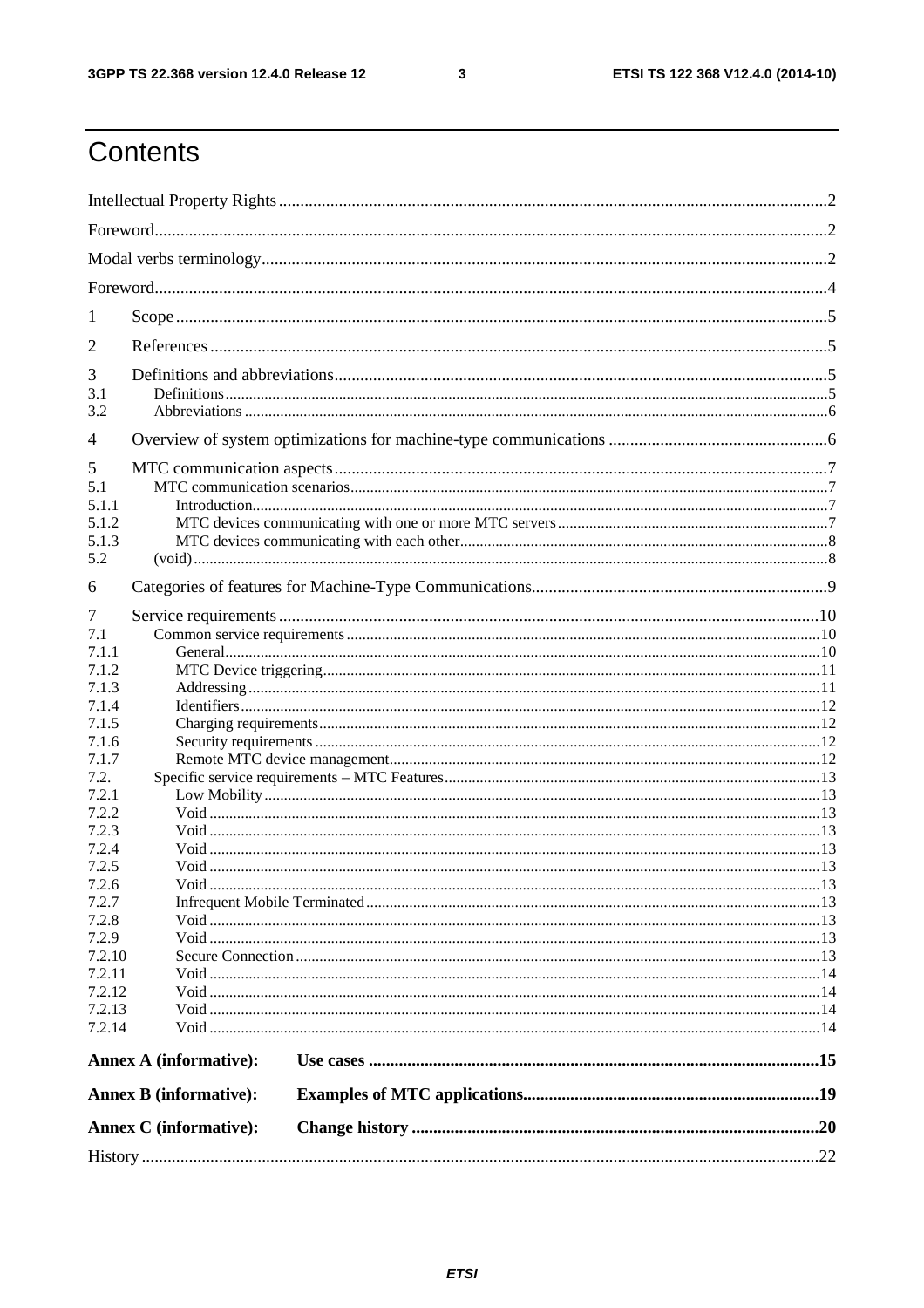$\mathbf{3}$ 

## Contents

| 1             |                               |  |  |  |  |  |  |  |  |
|---------------|-------------------------------|--|--|--|--|--|--|--|--|
| 2             |                               |  |  |  |  |  |  |  |  |
| 3             |                               |  |  |  |  |  |  |  |  |
| 3.1           |                               |  |  |  |  |  |  |  |  |
| 3.2           |                               |  |  |  |  |  |  |  |  |
| 4             |                               |  |  |  |  |  |  |  |  |
| 5             |                               |  |  |  |  |  |  |  |  |
| 5.1           |                               |  |  |  |  |  |  |  |  |
| 5.1.1         |                               |  |  |  |  |  |  |  |  |
| 5.1.2         |                               |  |  |  |  |  |  |  |  |
| 5.1.3         |                               |  |  |  |  |  |  |  |  |
| 5.2           |                               |  |  |  |  |  |  |  |  |
|               |                               |  |  |  |  |  |  |  |  |
| 6             |                               |  |  |  |  |  |  |  |  |
| 7             |                               |  |  |  |  |  |  |  |  |
| 7.1           |                               |  |  |  |  |  |  |  |  |
| 7.1.1         |                               |  |  |  |  |  |  |  |  |
| 7.1.2         |                               |  |  |  |  |  |  |  |  |
| 7.1.3         |                               |  |  |  |  |  |  |  |  |
| 7.1.4         |                               |  |  |  |  |  |  |  |  |
| 7.1.5         |                               |  |  |  |  |  |  |  |  |
| 7.1.6         |                               |  |  |  |  |  |  |  |  |
| 7.1.7         |                               |  |  |  |  |  |  |  |  |
| 7.2.<br>7.2.1 |                               |  |  |  |  |  |  |  |  |
| 7.2.2         |                               |  |  |  |  |  |  |  |  |
| 7.2.3         |                               |  |  |  |  |  |  |  |  |
| 7.2.4         |                               |  |  |  |  |  |  |  |  |
| 7.2.5         |                               |  |  |  |  |  |  |  |  |
| 7.2.6         |                               |  |  |  |  |  |  |  |  |
| 7.2.7         |                               |  |  |  |  |  |  |  |  |
| 7.2.8         |                               |  |  |  |  |  |  |  |  |
| 7.2.9         |                               |  |  |  |  |  |  |  |  |
| 7.2.10        |                               |  |  |  |  |  |  |  |  |
| 7.2.11        |                               |  |  |  |  |  |  |  |  |
| 7.2.12        |                               |  |  |  |  |  |  |  |  |
| 7.2.13        |                               |  |  |  |  |  |  |  |  |
| 7.2.14        |                               |  |  |  |  |  |  |  |  |
|               | <b>Annex A (informative):</b> |  |  |  |  |  |  |  |  |
|               |                               |  |  |  |  |  |  |  |  |
|               | <b>Annex B</b> (informative): |  |  |  |  |  |  |  |  |
|               | <b>Annex C</b> (informative): |  |  |  |  |  |  |  |  |
|               |                               |  |  |  |  |  |  |  |  |
|               |                               |  |  |  |  |  |  |  |  |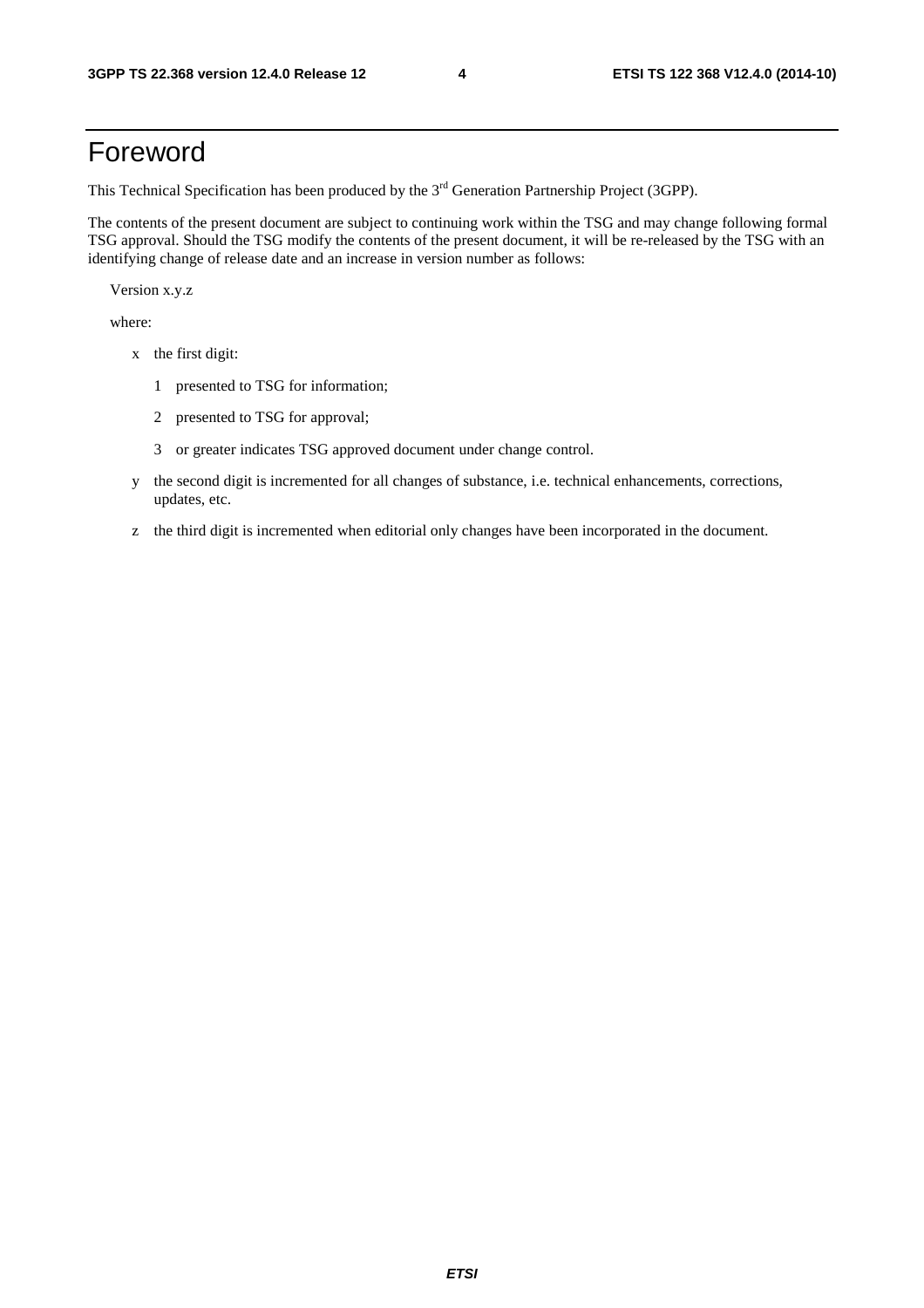### Foreword

This Technical Specification has been produced by the 3<sup>rd</sup> Generation Partnership Project (3GPP).

The contents of the present document are subject to continuing work within the TSG and may change following formal TSG approval. Should the TSG modify the contents of the present document, it will be re-released by the TSG with an identifying change of release date and an increase in version number as follows:

Version x.y.z

where:

- x the first digit:
	- 1 presented to TSG for information;
	- 2 presented to TSG for approval;
	- 3 or greater indicates TSG approved document under change control.
- y the second digit is incremented for all changes of substance, i.e. technical enhancements, corrections, updates, etc.
- z the third digit is incremented when editorial only changes have been incorporated in the document.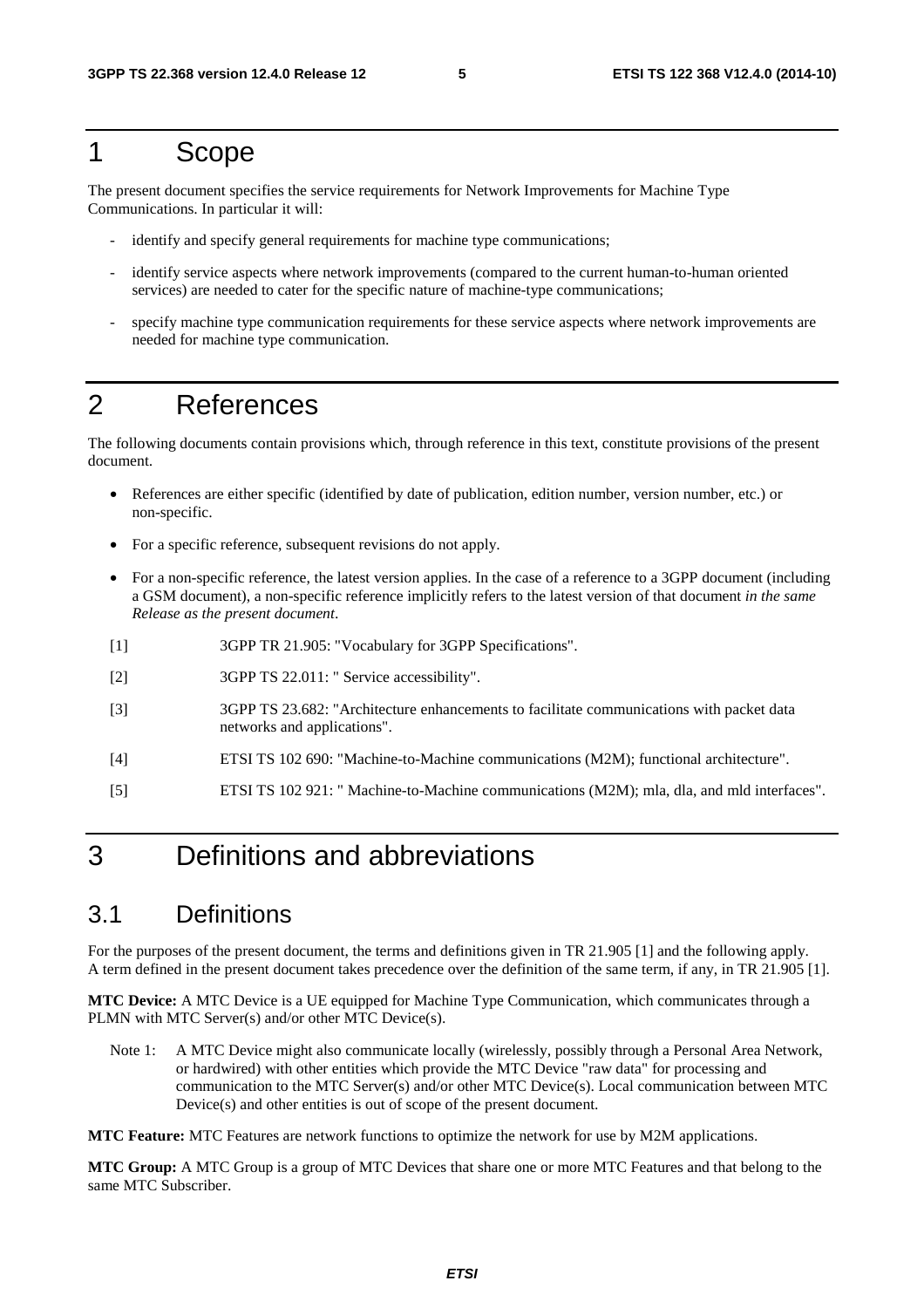### 1 Scope

The present document specifies the service requirements for Network Improvements for Machine Type Communications. In particular it will:

- identify and specify general requirements for machine type communications;
- identify service aspects where network improvements (compared to the current human-to-human oriented services) are needed to cater for the specific nature of machine-type communications;
- specify machine type communication requirements for these service aspects where network improvements are needed for machine type communication.

### 2 References

The following documents contain provisions which, through reference in this text, constitute provisions of the present document.

- References are either specific (identified by date of publication, edition number, version number, etc.) or non-specific.
- For a specific reference, subsequent revisions do not apply.
- For a non-specific reference, the latest version applies. In the case of a reference to a 3GPP document (including a GSM document), a non-specific reference implicitly refers to the latest version of that document *in the same Release as the present document*.
- [1] 3GPP TR 21.905: "Vocabulary for 3GPP Specifications".
- [2] 3GPP TS 22.011: " Service accessibility".
- [3] 3GPP TS 23.682: "Architecture enhancements to facilitate communications with packet data networks and applications".
- [4] ETSI TS 102 690: "Machine-to-Machine communications (M2M); functional architecture".
- [5] ETSI TS 102 921: " Machine-to-Machine communications (M2M); mla, dla, and mld interfaces".

### 3 Definitions and abbreviations

### 3.1 Definitions

For the purposes of the present document, the terms and definitions given in TR 21.905 [1] and the following apply. A term defined in the present document takes precedence over the definition of the same term, if any, in TR 21.905 [1].

**MTC Device:** A MTC Device is a UE equipped for Machine Type Communication, which communicates through a PLMN with MTC Server(s) and/or other MTC Device(s).

Note 1: A MTC Device might also communicate locally (wirelessly, possibly through a Personal Area Network, or hardwired) with other entities which provide the MTC Device "raw data" for processing and communication to the MTC Server(s) and/or other MTC Device(s). Local communication between MTC Device(s) and other entities is out of scope of the present document.

**MTC Feature:** MTC Features are network functions to optimize the network for use by M2M applications.

**MTC Group:** A MTC Group is a group of MTC Devices that share one or more MTC Features and that belong to the same MTC Subscriber.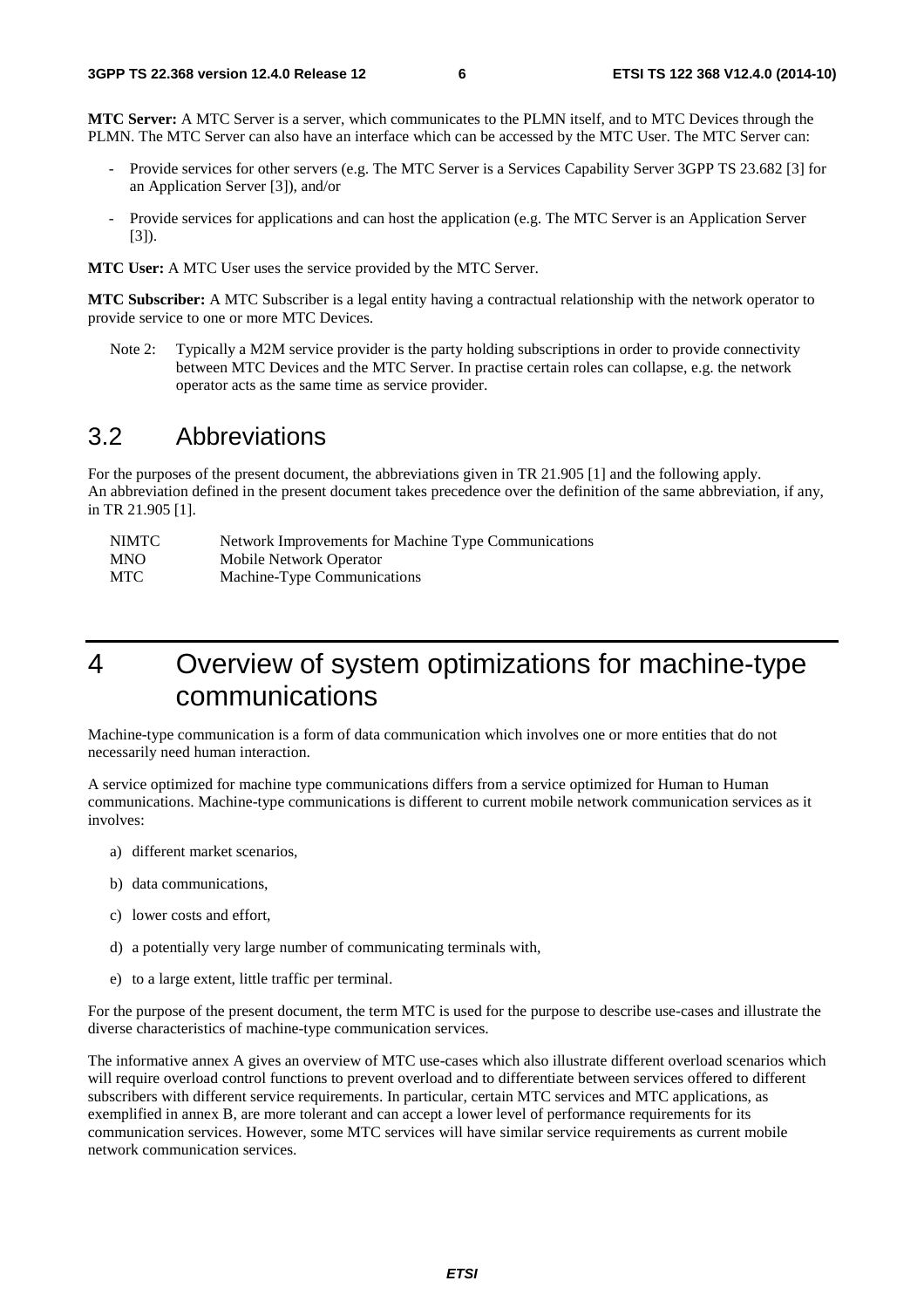**MTC Server:** A MTC Server is a server, which communicates to the PLMN itself, and to MTC Devices through the PLMN. The MTC Server can also have an interface which can be accessed by the MTC User. The MTC Server can:

- Provide services for other servers (e.g. The MTC Server is a Services Capability Server 3GPP TS 23.682 [3] for an Application Server [3]), and/or
- Provide services for applications and can host the application (e.g. The MTC Server is an Application Server  $[3]$ .

**MTC User:** A MTC User uses the service provided by the MTC Server.

**MTC Subscriber:** A MTC Subscriber is a legal entity having a contractual relationship with the network operator to provide service to one or more MTC Devices.

Note 2: Typically a M2M service provider is the party holding subscriptions in order to provide connectivity between MTC Devices and the MTC Server. In practise certain roles can collapse, e.g. the network operator acts as the same time as service provider.

### 3.2 Abbreviations

For the purposes of the present document, the abbreviations given in TR 21.905 [1] and the following apply. An abbreviation defined in the present document takes precedence over the definition of the same abbreviation, if any, in TR 21.905 [1].

| NIMTC      | Network Improvements for Machine Type Communications |
|------------|------------------------------------------------------|
| <b>MNO</b> | Mobile Network Operator                              |
| MTC        | Machine-Type Communications                          |

### 4 Overview of system optimizations for machine-type communications

Machine-type communication is a form of data communication which involves one or more entities that do not necessarily need human interaction.

A service optimized for machine type communications differs from a service optimized for Human to Human communications. Machine-type communications is different to current mobile network communication services as it involves:

- a) different market scenarios,
- b) data communications,
- c) lower costs and effort,
- d) a potentially very large number of communicating terminals with,
- e) to a large extent, little traffic per terminal.

For the purpose of the present document, the term MTC is used for the purpose to describe use-cases and illustrate the diverse characteristics of machine-type communication services.

The informative annex A gives an overview of MTC use-cases which also illustrate different overload scenarios which will require overload control functions to prevent overload and to differentiate between services offered to different subscribers with different service requirements. In particular, certain MTC services and MTC applications, as exemplified in annex B, are more tolerant and can accept a lower level of performance requirements for its communication services. However, some MTC services will have similar service requirements as current mobile network communication services.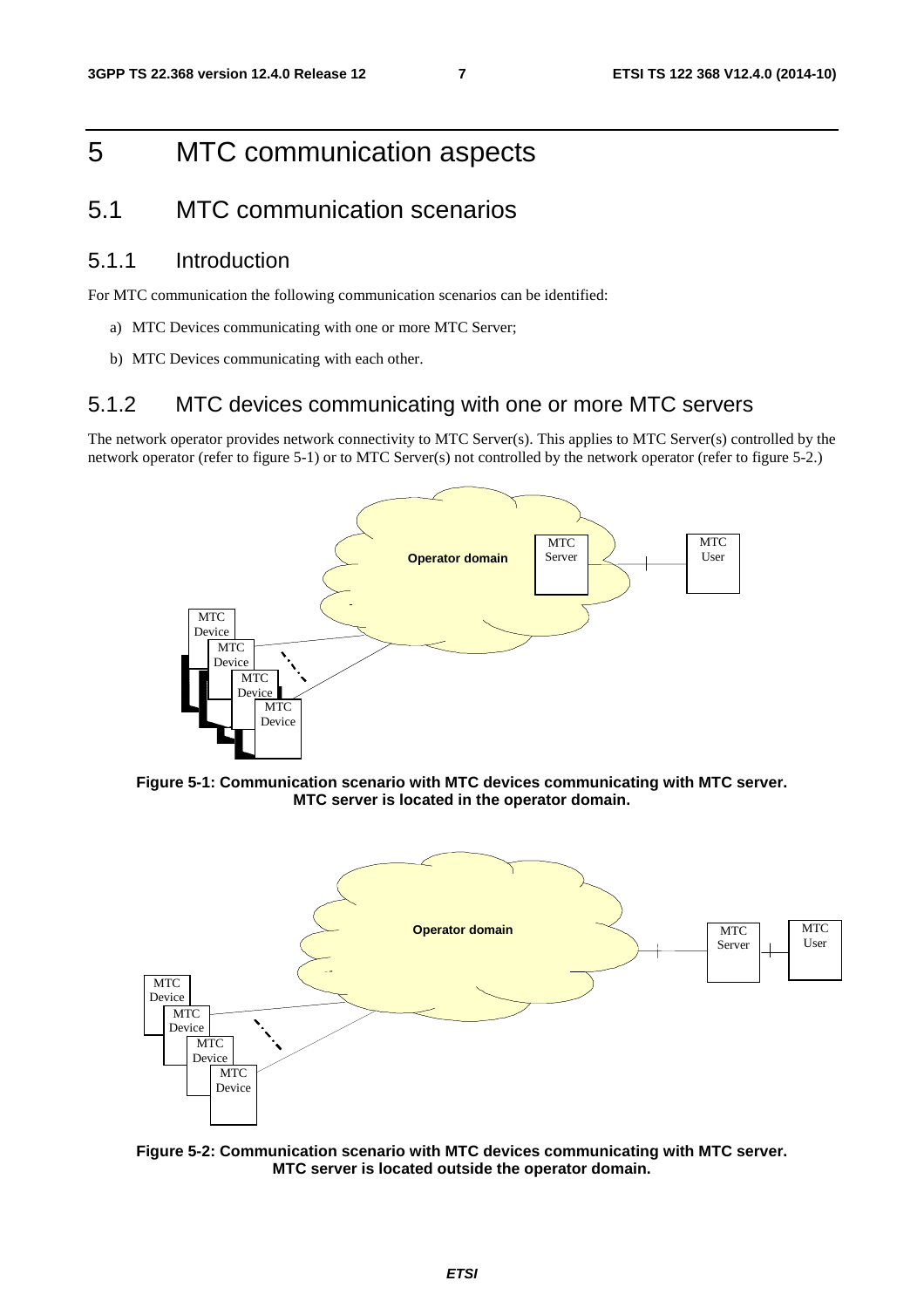### 5 MTC communication aspects

### 5.1 MTC communication scenarios

#### 5.1.1 Introduction

For MTC communication the following communication scenarios can be identified:

- a) MTC Devices communicating with one or more MTC Server;
- b) MTC Devices communicating with each other.

#### 5.1.2 MTC devices communicating with one or more MTC servers

The network operator provides network connectivity to MTC Server(s). This applies to MTC Server(s) controlled by the network operator (refer to figure 5-1) or to MTC Server(s) not controlled by the network operator (refer to figure 5-2.)



**Figure 5-1: Communication scenario with MTC devices communicating with MTC server. MTC server is located in the operator domain.** 



**Figure 5-2: Communication scenario with MTC devices communicating with MTC server. MTC server is located outside the operator domain.**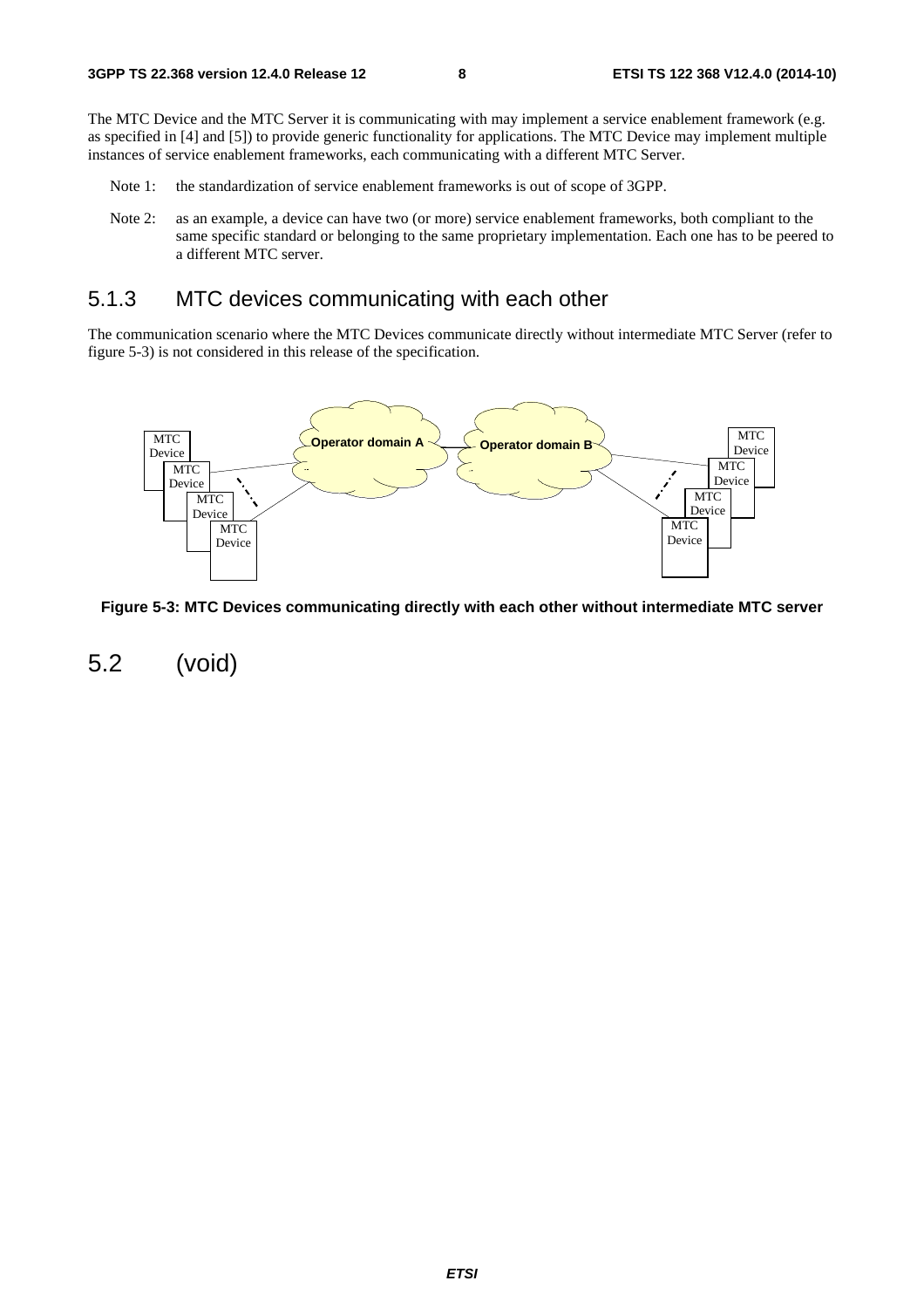The MTC Device and the MTC Server it is communicating with may implement a service enablement framework (e.g. as specified in [4] and [5]) to provide generic functionality for applications. The MTC Device may implement multiple instances of service enablement frameworks, each communicating with a different MTC Server.

- Note 1: the standardization of service enablement frameworks is out of scope of 3GPP.
- Note 2: as an example, a device can have two (or more) service enablement frameworks, both compliant to the same specific standard or belonging to the same proprietary implementation. Each one has to be peered to a different MTC server.

#### 5.1.3 MTC devices communicating with each other

The communication scenario where the MTC Devices communicate directly without intermediate MTC Server (refer to figure 5-3) is not considered in this release of the specification.



**Figure 5-3: MTC Devices communicating directly with each other without intermediate MTC server** 

5.2 (void)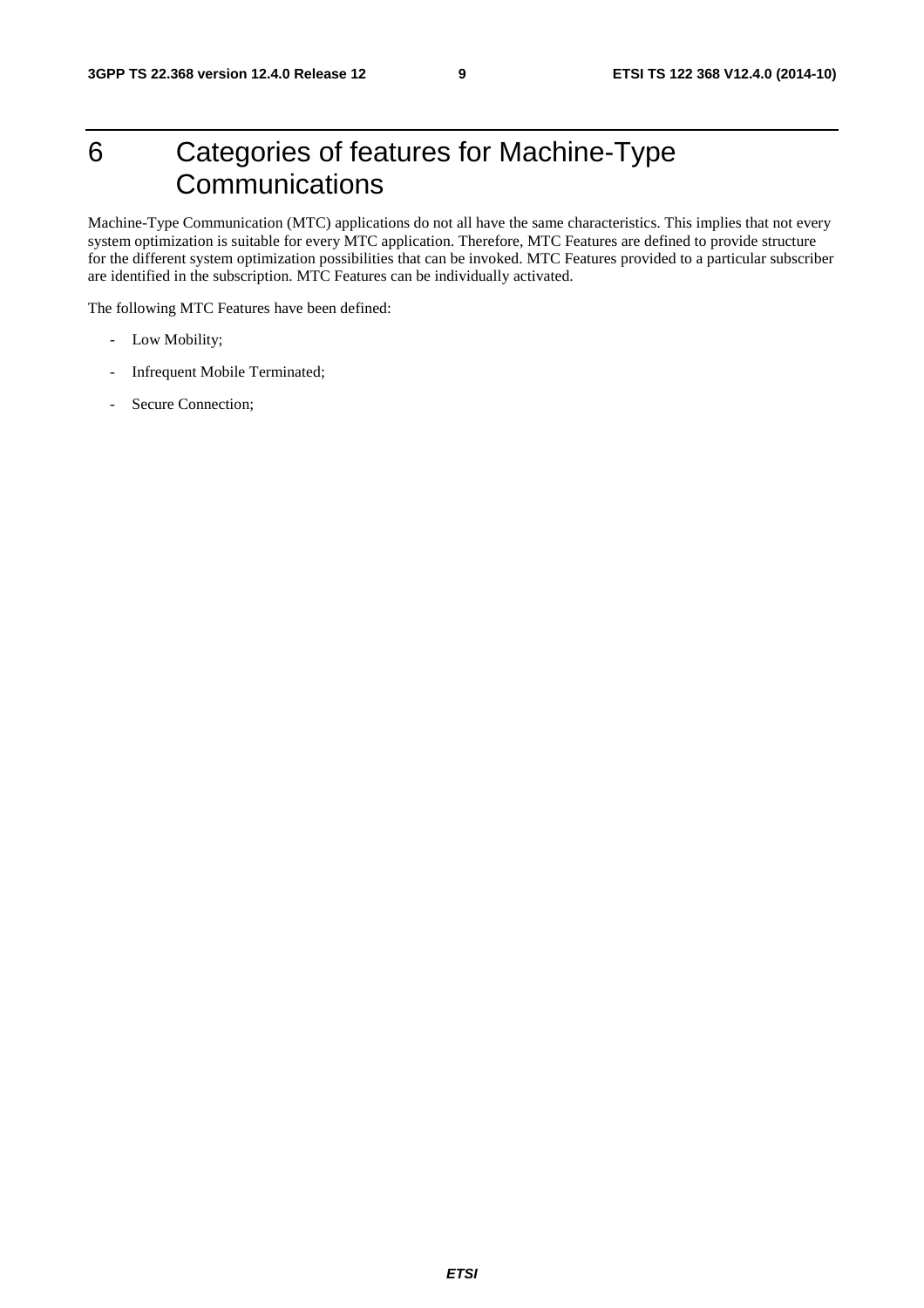### 6 Categories of features for Machine-Type **Communications**

Machine-Type Communication (MTC) applications do not all have the same characteristics. This implies that not every system optimization is suitable for every MTC application. Therefore, MTC Features are defined to provide structure for the different system optimization possibilities that can be invoked. MTC Features provided to a particular subscriber are identified in the subscription. MTC Features can be individually activated.

The following MTC Features have been defined:

- Low Mobility;
- Infrequent Mobile Terminated;
- Secure Connection;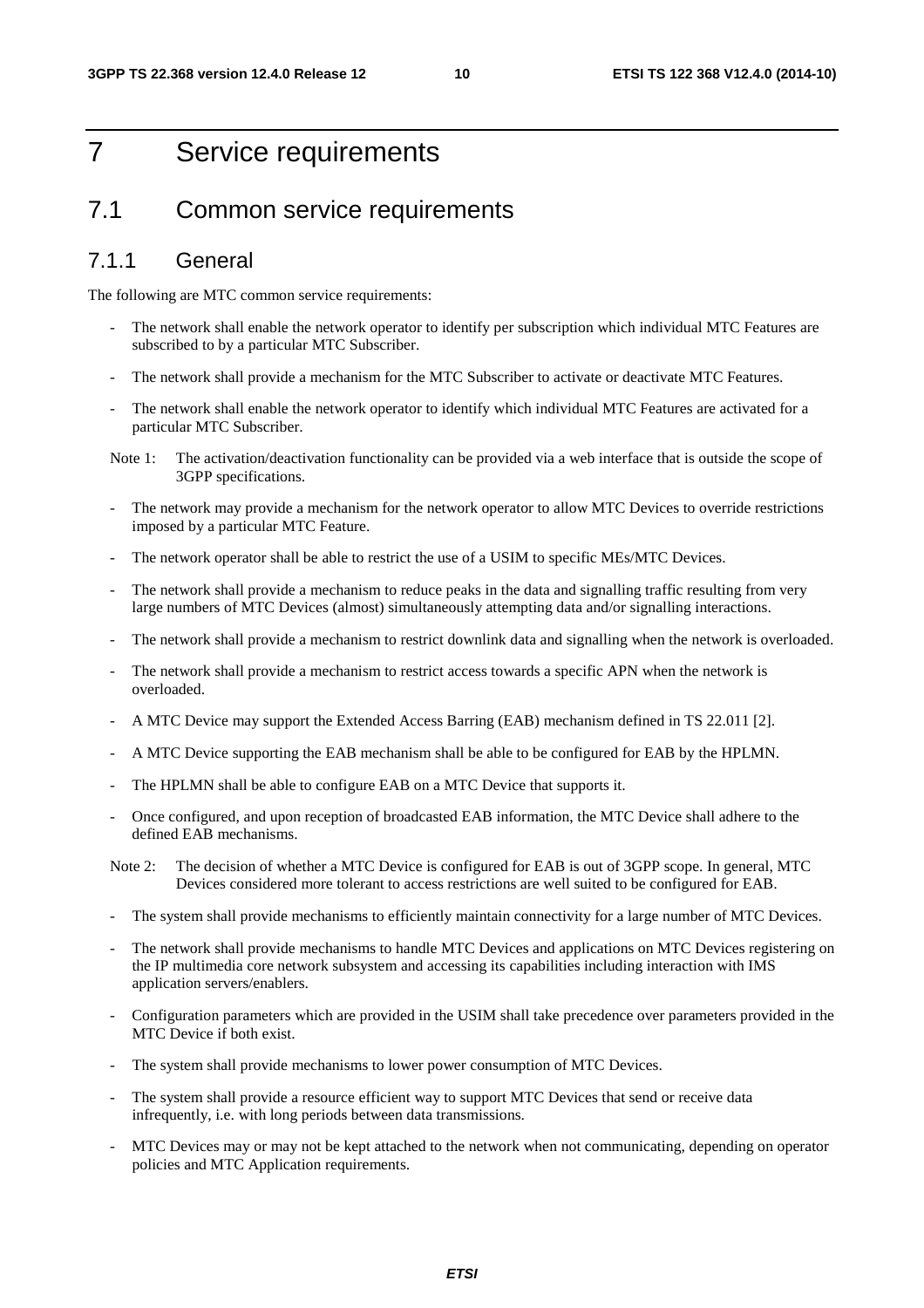### 7 Service requirements

### 7.1 Common service requirements

#### 7.1.1 General

The following are MTC common service requirements:

- The network shall enable the network operator to identify per subscription which individual MTC Features are subscribed to by a particular MTC Subscriber.
- The network shall provide a mechanism for the MTC Subscriber to activate or deactivate MTC Features.
- The network shall enable the network operator to identify which individual MTC Features are activated for a particular MTC Subscriber.
- Note 1: The activation/deactivation functionality can be provided via a web interface that is outside the scope of 3GPP specifications.
- The network may provide a mechanism for the network operator to allow MTC Devices to override restrictions imposed by a particular MTC Feature.
- The network operator shall be able to restrict the use of a USIM to specific MEs/MTC Devices.
- The network shall provide a mechanism to reduce peaks in the data and signalling traffic resulting from very large numbers of MTC Devices (almost) simultaneously attempting data and/or signalling interactions.
- The network shall provide a mechanism to restrict downlink data and signalling when the network is overloaded.
- The network shall provide a mechanism to restrict access towards a specific APN when the network is overloaded.
- A MTC Device may support the Extended Access Barring (EAB) mechanism defined in TS 22.011 [2].
- A MTC Device supporting the EAB mechanism shall be able to be configured for EAB by the HPLMN.
- The HPLMN shall be able to configure EAB on a MTC Device that supports it.
- Once configured, and upon reception of broadcasted EAB information, the MTC Device shall adhere to the defined EAB mechanisms.
- Note 2: The decision of whether a MTC Device is configured for EAB is out of 3GPP scope. In general, MTC Devices considered more tolerant to access restrictions are well suited to be configured for EAB.
- The system shall provide mechanisms to efficiently maintain connectivity for a large number of MTC Devices.
- The network shall provide mechanisms to handle MTC Devices and applications on MTC Devices registering on the IP multimedia core network subsystem and accessing its capabilities including interaction with IMS application servers/enablers.
- Configuration parameters which are provided in the USIM shall take precedence over parameters provided in the MTC Device if both exist.
- The system shall provide mechanisms to lower power consumption of MTC Devices.
- The system shall provide a resource efficient way to support MTC Devices that send or receive data infrequently, i.e. with long periods between data transmissions.
- MTC Devices may or may not be kept attached to the network when not communicating, depending on operator policies and MTC Application requirements.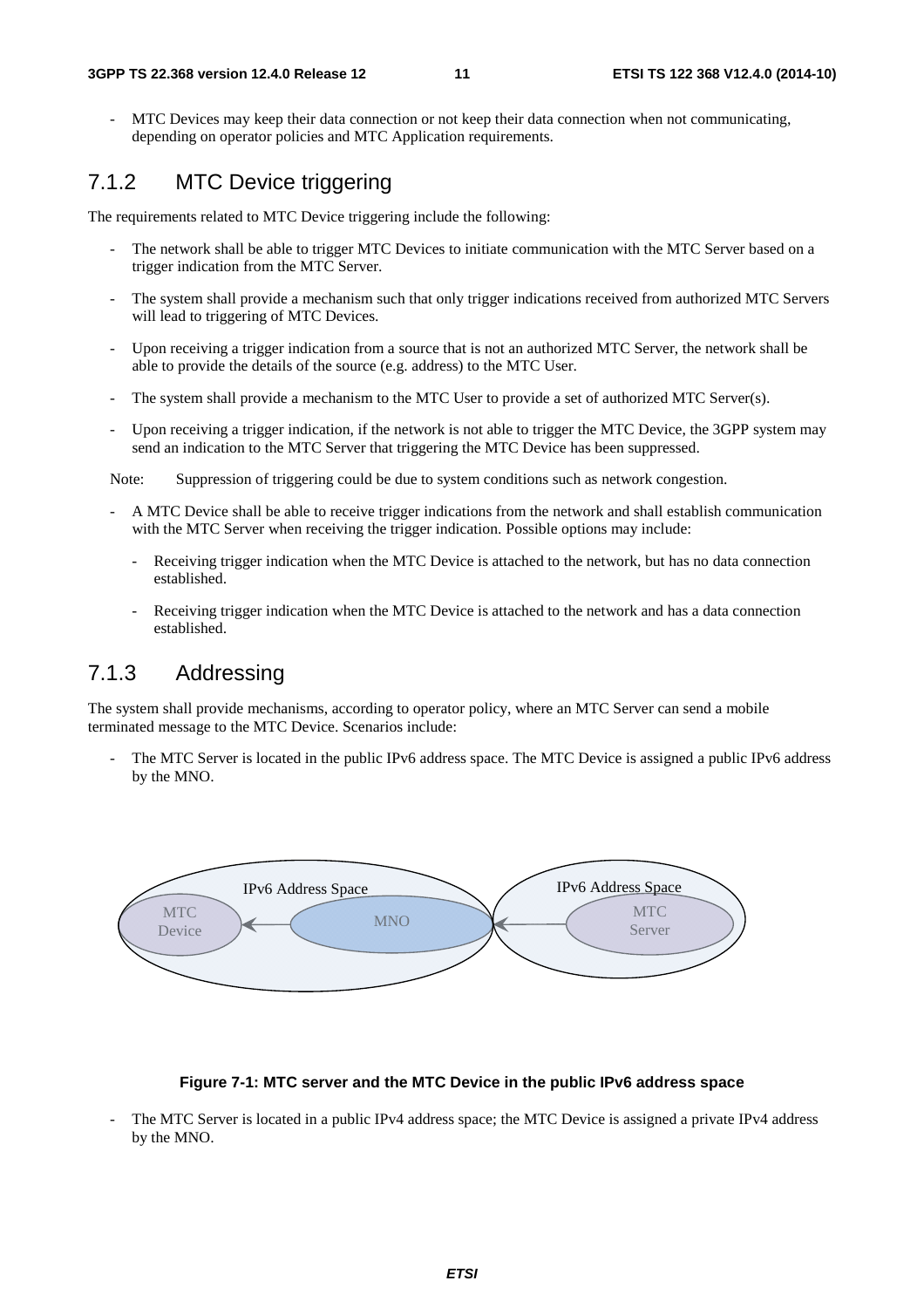MTC Devices may keep their data connection or not keep their data connection when not communicating, depending on operator policies and MTC Application requirements.

### 7.1.2 MTC Device triggering

The requirements related to MTC Device triggering include the following:

- The network shall be able to trigger MTC Devices to initiate communication with the MTC Server based on a trigger indication from the MTC Server.
- The system shall provide a mechanism such that only trigger indications received from authorized MTC Servers will lead to triggering of MTC Devices.
- Upon receiving a trigger indication from a source that is not an authorized MTC Server, the network shall be able to provide the details of the source (e.g. address) to the MTC User.
- The system shall provide a mechanism to the MTC User to provide a set of authorized MTC Server(s).
- Upon receiving a trigger indication, if the network is not able to trigger the MTC Device, the 3GPP system may send an indication to the MTC Server that triggering the MTC Device has been suppressed.

Note: Suppression of triggering could be due to system conditions such as network congestion.

- A MTC Device shall be able to receive trigger indications from the network and shall establish communication with the MTC Server when receiving the trigger indication. Possible options may include:
	- Receiving trigger indication when the MTC Device is attached to the network, but has no data connection established.
	- Receiving trigger indication when the MTC Device is attached to the network and has a data connection established.

#### 7.1.3 Addressing

The system shall provide mechanisms, according to operator policy, where an MTC Server can send a mobile terminated message to the MTC Device. Scenarios include:

The MTC Server is located in the public IPv6 address space. The MTC Device is assigned a public IPv6 address by the MNO.



#### **Figure 7-1: MTC server and the MTC Device in the public IPv6 address space**

The MTC Server is located in a public IPv4 address space; the MTC Device is assigned a private IPv4 address by the MNO.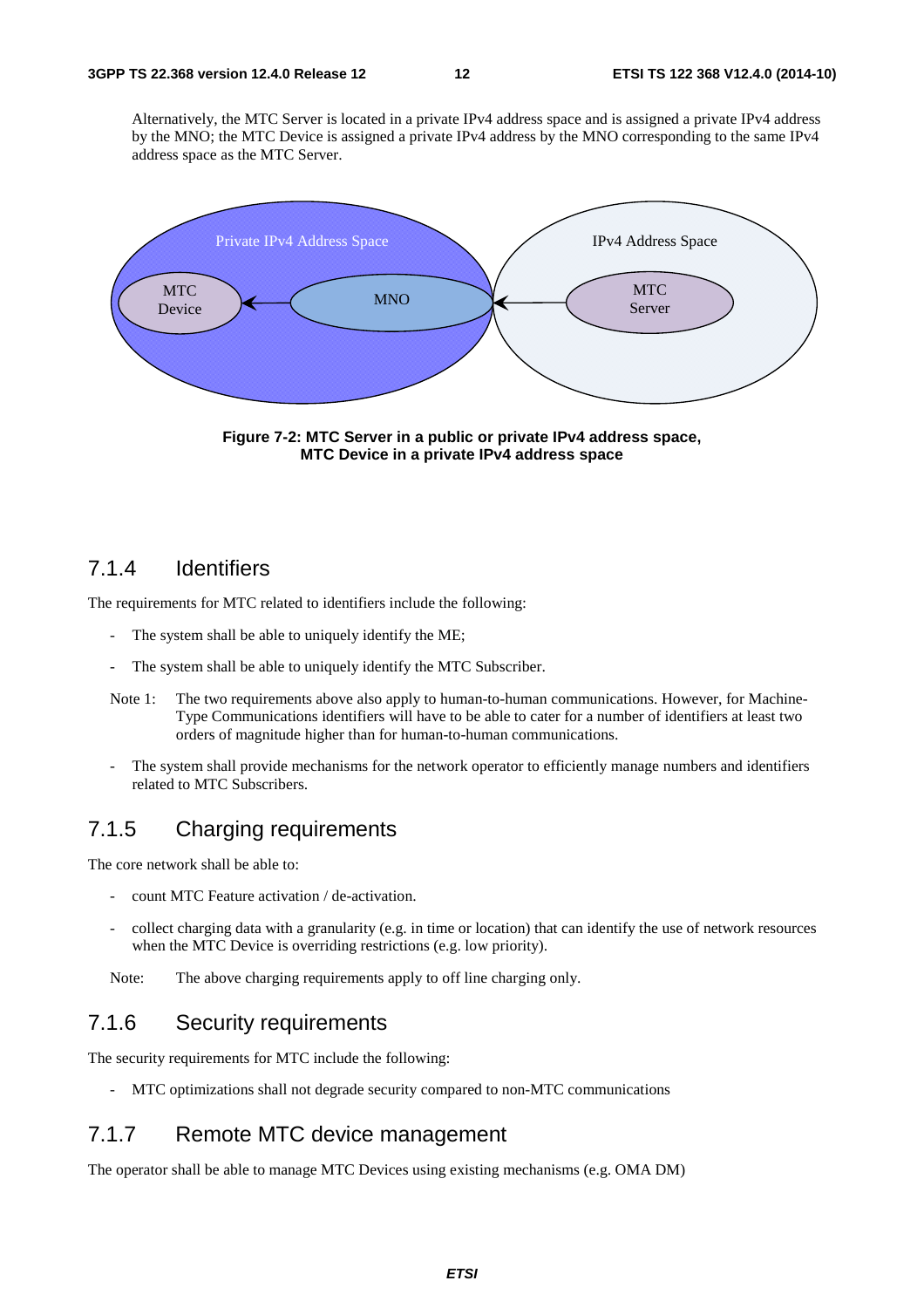Alternatively, the MTC Server is located in a private IPv4 address space and is assigned a private IPv4 address by the MNO; the MTC Device is assigned a private IPv4 address by the MNO corresponding to the same IPv4 address space as the MTC Server.



**Figure 7-2: MTC Server in a public or private IPv4 address space, MTC Device in a private IPv4 address space** 

#### 7.1.4 Identifiers

The requirements for MTC related to identifiers include the following:

- The system shall be able to uniquely identify the ME;
- The system shall be able to uniquely identify the MTC Subscriber.
- Note 1: The two requirements above also apply to human-to-human communications. However, for Machine-Type Communications identifiers will have to be able to cater for a number of identifiers at least two orders of magnitude higher than for human-to-human communications.
- The system shall provide mechanisms for the network operator to efficiently manage numbers and identifiers related to MTC Subscribers.

#### 7.1.5 Charging requirements

The core network shall be able to:

- count MTC Feature activation / de-activation.
- collect charging data with a granularity (e.g. in time or location) that can identify the use of network resources when the MTC Device is overriding restrictions (e.g. low priority).

Note: The above charging requirements apply to off line charging only.

#### 7.1.6 Security requirements

The security requirements for MTC include the following:

MTC optimizations shall not degrade security compared to non-MTC communications

#### 7.1.7 Remote MTC device management

The operator shall be able to manage MTC Devices using existing mechanisms (e.g. OMA DM)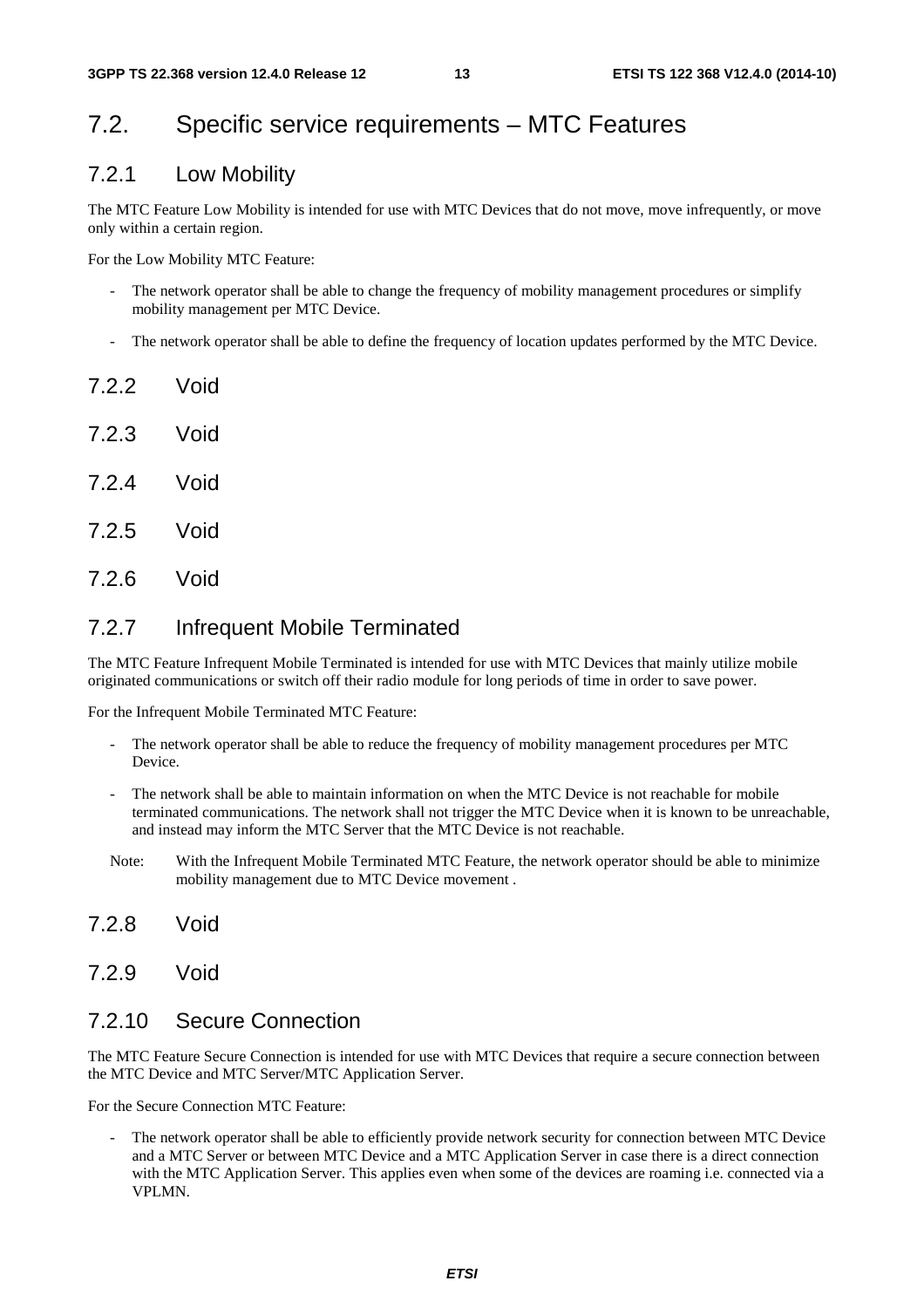### 7.2. Specific service requirements – MTC Features

#### 7.2.1 Low Mobility

The MTC Feature Low Mobility is intended for use with MTC Devices that do not move, move infrequently, or move only within a certain region.

For the Low Mobility MTC Feature:

- The network operator shall be able to change the frequency of mobility management procedures or simplify mobility management per MTC Device.
- The network operator shall be able to define the frequency of location updates performed by the MTC Device.
- **7.2.2** Void 7.2.3 Void 7.2.4 Void
- 7.2.5 Void
- 7.2.6 Void

#### 7.2.7 Infrequent Mobile Terminated

The MTC Feature Infrequent Mobile Terminated is intended for use with MTC Devices that mainly utilize mobile originated communications or switch off their radio module for long periods of time in order to save power.

For the Infrequent Mobile Terminated MTC Feature:

- The network operator shall be able to reduce the frequency of mobility management procedures per MTC Device.
- The network shall be able to maintain information on when the MTC Device is not reachable for mobile terminated communications. The network shall not trigger the MTC Device when it is known to be unreachable, and instead may inform the MTC Server that the MTC Device is not reachable.
- Note: With the Infrequent Mobile Terminated MTC Feature, the network operator should be able to minimize mobility management due to MTC Device movement .
- 7.2.8 Void
- 7.2.9 Void

#### 7.2.10 Secure Connection

The MTC Feature Secure Connection is intended for use with MTC Devices that require a secure connection between the MTC Device and MTC Server/MTC Application Server.

For the Secure Connection MTC Feature:

The network operator shall be able to efficiently provide network security for connection between MTC Device and a MTC Server or between MTC Device and a MTC Application Server in case there is a direct connection with the MTC Application Server. This applies even when some of the devices are roaming i.e. connected via a VPLMN.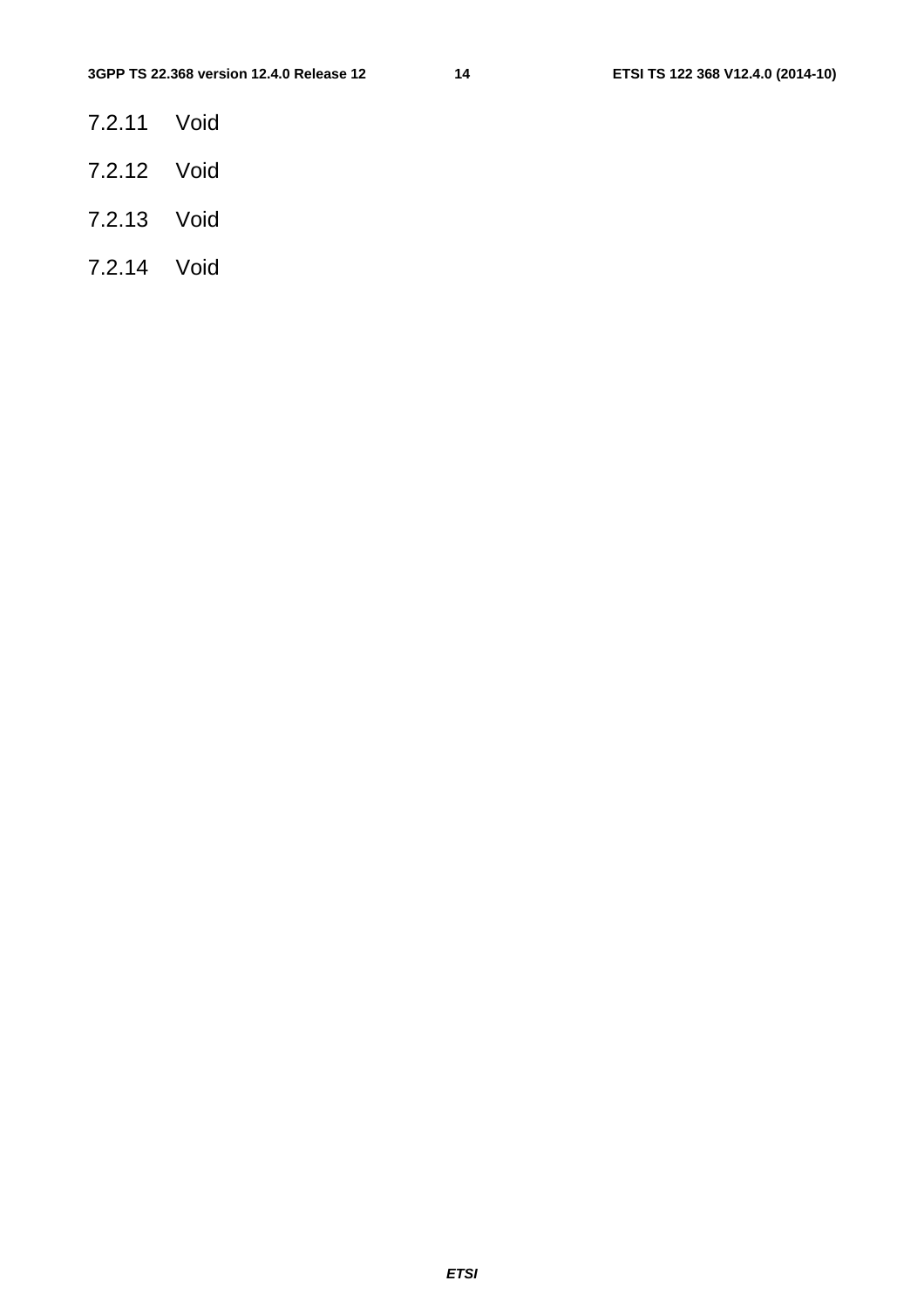- 7.2.11 Void
- 7.2.12 Void
- 7.2.13 Void
- 7.2.14 Void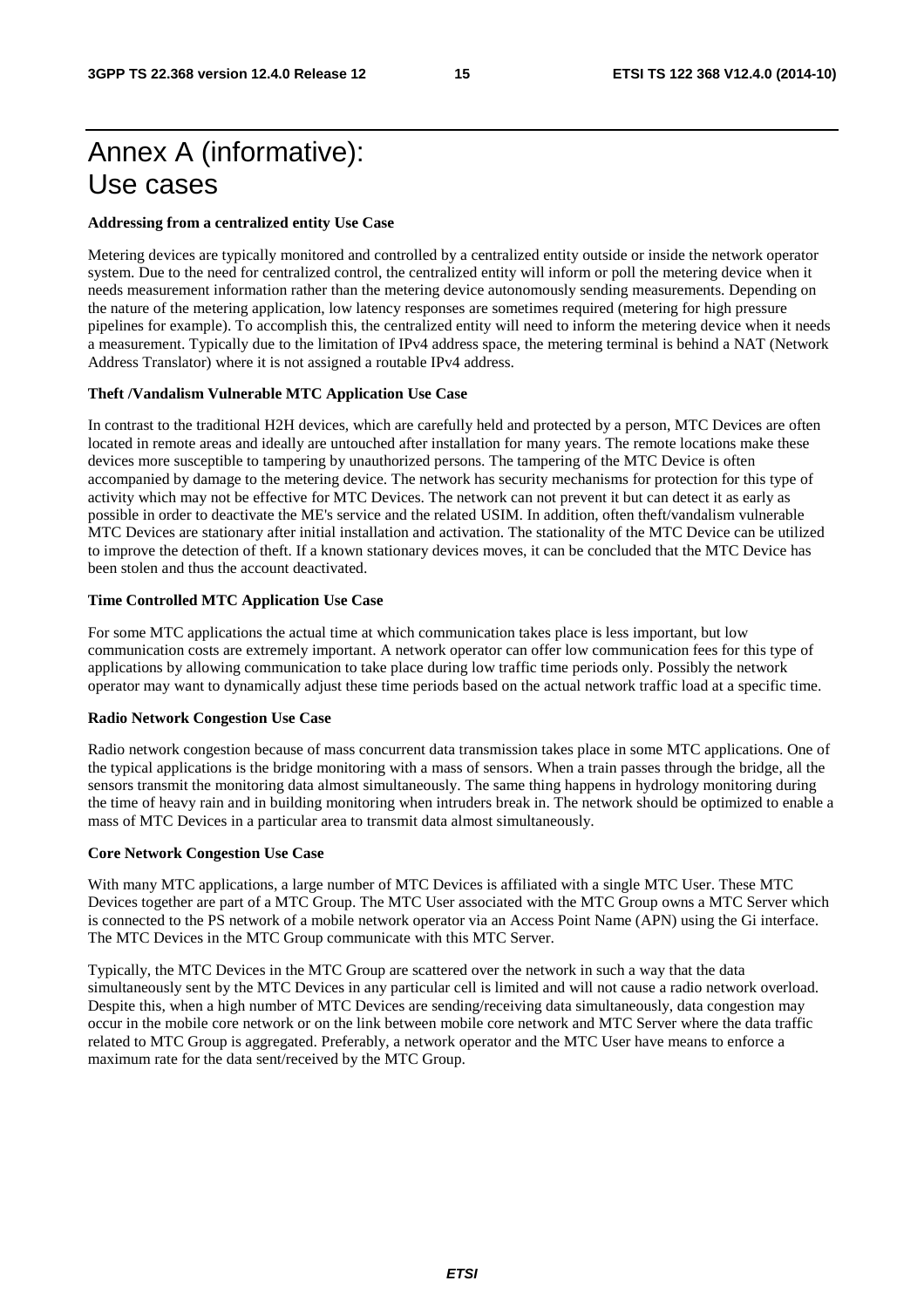### Annex A (informative): Use cases

#### **Addressing from a centralized entity Use Case**

Metering devices are typically monitored and controlled by a centralized entity outside or inside the network operator system. Due to the need for centralized control, the centralized entity will inform or poll the metering device when it needs measurement information rather than the metering device autonomously sending measurements. Depending on the nature of the metering application, low latency responses are sometimes required (metering for high pressure pipelines for example). To accomplish this, the centralized entity will need to inform the metering device when it needs a measurement. Typically due to the limitation of IPv4 address space, the metering terminal is behind a NAT (Network Address Translator) where it is not assigned a routable IPv4 address.

#### **Theft /Vandalism Vulnerable MTC Application Use Case**

In contrast to the traditional H2H devices, which are carefully held and protected by a person, MTC Devices are often located in remote areas and ideally are untouched after installation for many years. The remote locations make these devices more susceptible to tampering by unauthorized persons. The tampering of the MTC Device is often accompanied by damage to the metering device. The network has security mechanisms for protection for this type of activity which may not be effective for MTC Devices. The network can not prevent it but can detect it as early as possible in order to deactivate the ME's service and the related USIM. In addition, often theft/vandalism vulnerable MTC Devices are stationary after initial installation and activation. The stationality of the MTC Device can be utilized to improve the detection of theft. If a known stationary devices moves, it can be concluded that the MTC Device has been stolen and thus the account deactivated.

#### **Time Controlled MTC Application Use Case**

For some MTC applications the actual time at which communication takes place is less important, but low communication costs are extremely important. A network operator can offer low communication fees for this type of applications by allowing communication to take place during low traffic time periods only. Possibly the network operator may want to dynamically adjust these time periods based on the actual network traffic load at a specific time.

#### **Radio Network Congestion Use Case**

Radio network congestion because of mass concurrent data transmission takes place in some MTC applications. One of the typical applications is the bridge monitoring with a mass of sensors. When a train passes through the bridge, all the sensors transmit the monitoring data almost simultaneously. The same thing happens in hydrology monitoring during the time of heavy rain and in building monitoring when intruders break in. The network should be optimized to enable a mass of MTC Devices in a particular area to transmit data almost simultaneously.

#### **Core Network Congestion Use Case**

With many MTC applications, a large number of MTC Devices is affiliated with a single MTC User. These MTC Devices together are part of a MTC Group. The MTC User associated with the MTC Group owns a MTC Server which is connected to the PS network of a mobile network operator via an Access Point Name (APN) using the Gi interface. The MTC Devices in the MTC Group communicate with this MTC Server.

Typically, the MTC Devices in the MTC Group are scattered over the network in such a way that the data simultaneously sent by the MTC Devices in any particular cell is limited and will not cause a radio network overload. Despite this, when a high number of MTC Devices are sending/receiving data simultaneously, data congestion may occur in the mobile core network or on the link between mobile core network and MTC Server where the data traffic related to MTC Group is aggregated. Preferably, a network operator and the MTC User have means to enforce a maximum rate for the data sent/received by the MTC Group.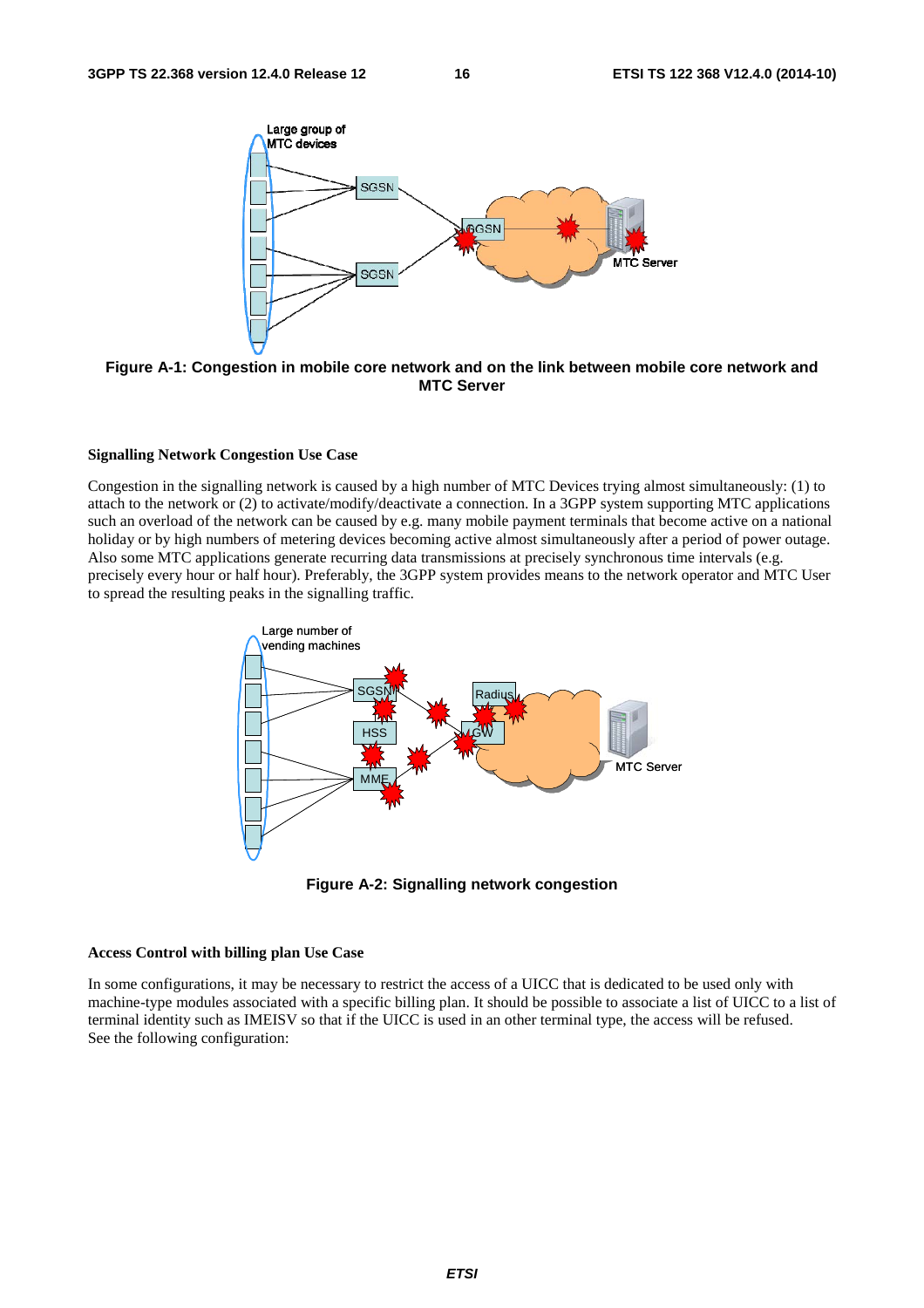

**Figure A-1: Congestion in mobile core network and on the link between mobile core network and MTC Server** 

#### **Signalling Network Congestion Use Case**

Congestion in the signalling network is caused by a high number of MTC Devices trying almost simultaneously: (1) to attach to the network or (2) to activate/modify/deactivate a connection. In a 3GPP system supporting MTC applications such an overload of the network can be caused by e.g. many mobile payment terminals that become active on a national holiday or by high numbers of metering devices becoming active almost simultaneously after a period of power outage. Also some MTC applications generate recurring data transmissions at precisely synchronous time intervals (e.g. precisely every hour or half hour). Preferably, the 3GPP system provides means to the network operator and MTC User to spread the resulting peaks in the signalling traffic.



**Figure A-2: Signalling network congestion** 

#### **Access Control with billing plan Use Case**

In some configurations, it may be necessary to restrict the access of a UICC that is dedicated to be used only with machine-type modules associated with a specific billing plan. It should be possible to associate a list of UICC to a list of terminal identity such as IMEISV so that if the UICC is used in an other terminal type, the access will be refused. See the following configuration: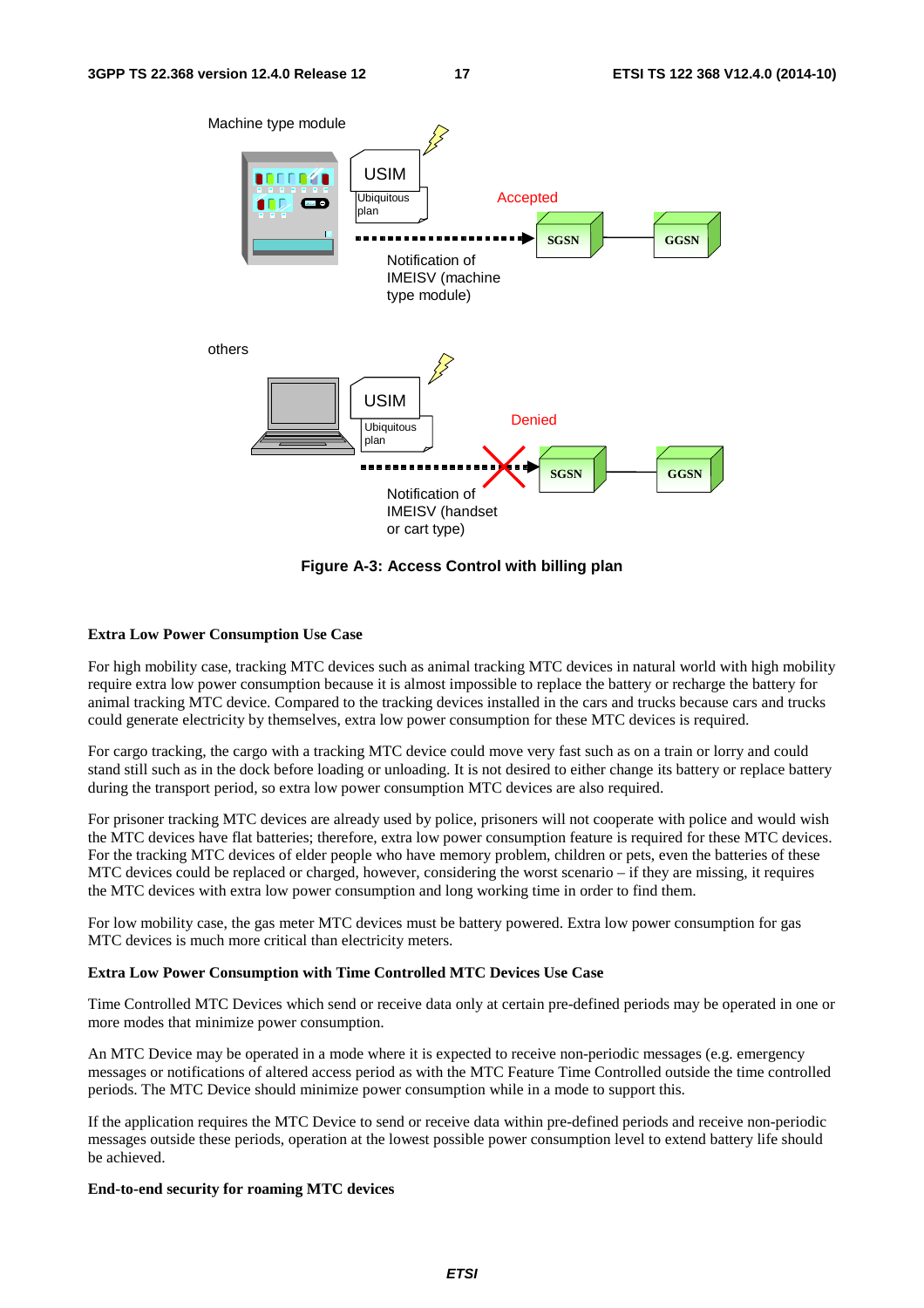

**Figure A-3: Access Control with billing plan** 

#### **Extra Low Power Consumption Use Case**

For high mobility case, tracking MTC devices such as animal tracking MTC devices in natural world with high mobility require extra low power consumption because it is almost impossible to replace the battery or recharge the battery for animal tracking MTC device. Compared to the tracking devices installed in the cars and trucks because cars and trucks could generate electricity by themselves, extra low power consumption for these MTC devices is required.

For cargo tracking, the cargo with a tracking MTC device could move very fast such as on a train or lorry and could stand still such as in the dock before loading or unloading. It is not desired to either change its battery or replace battery during the transport period, so extra low power consumption MTC devices are also required.

For prisoner tracking MTC devices are already used by police, prisoners will not cooperate with police and would wish the MTC devices have flat batteries; therefore, extra low power consumption feature is required for these MTC devices. For the tracking MTC devices of elder people who have memory problem, children or pets, even the batteries of these MTC devices could be replaced or charged, however, considering the worst scenario – if they are missing, it requires the MTC devices with extra low power consumption and long working time in order to find them.

For low mobility case, the gas meter MTC devices must be battery powered. Extra low power consumption for gas MTC devices is much more critical than electricity meters.

#### **Extra Low Power Consumption with Time Controlled MTC Devices Use Case**

Time Controlled MTC Devices which send or receive data only at certain pre-defined periods may be operated in one or more modes that minimize power consumption.

An MTC Device may be operated in a mode where it is expected to receive non-periodic messages (e.g. emergency messages or notifications of altered access period as with the MTC Feature Time Controlled outside the time controlled periods. The MTC Device should minimize power consumption while in a mode to support this.

If the application requires the MTC Device to send or receive data within pre-defined periods and receive non-periodic messages outside these periods, operation at the lowest possible power consumption level to extend battery life should be achieved.

#### **End-to-end security for roaming MTC devices**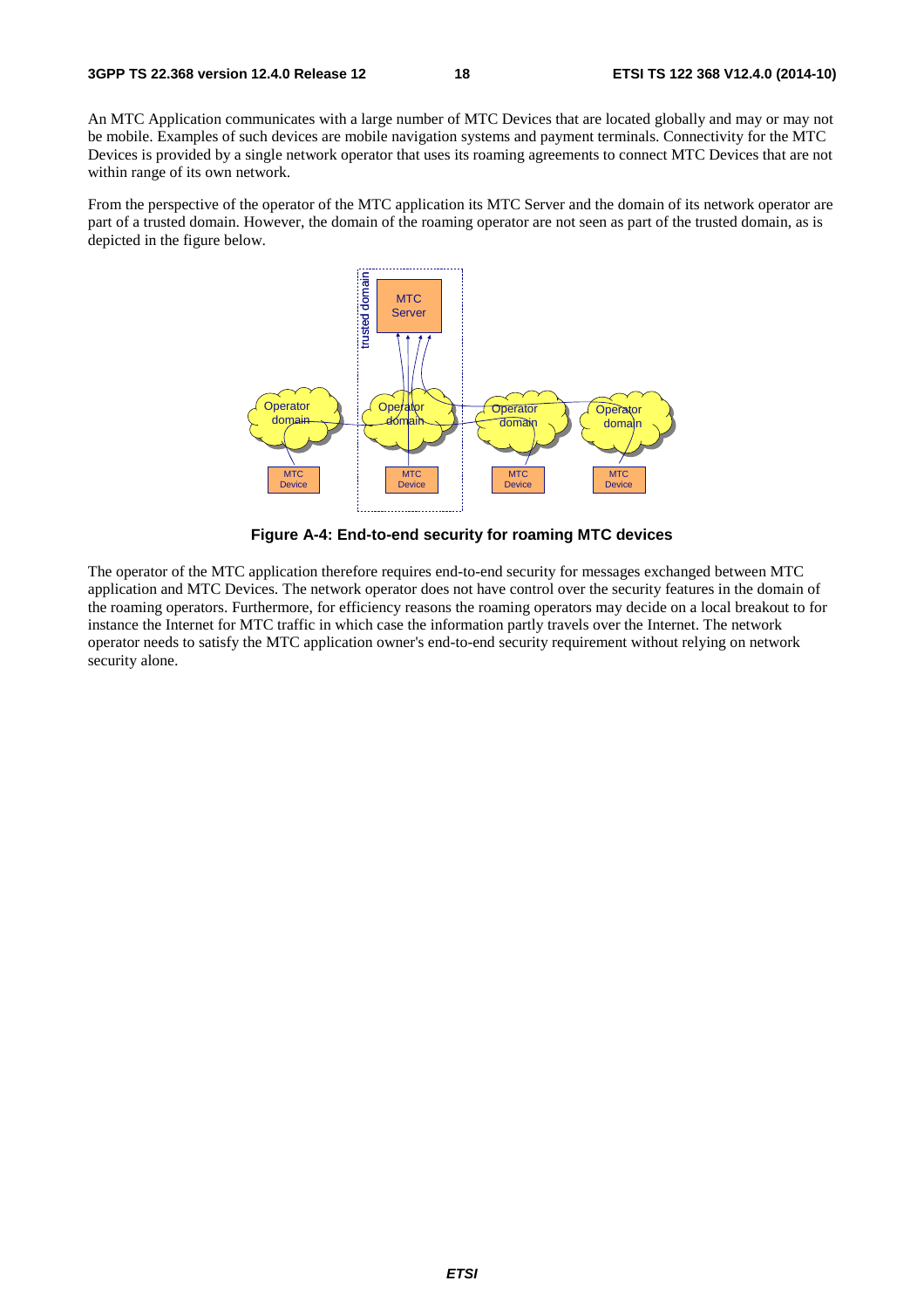An MTC Application communicates with a large number of MTC Devices that are located globally and may or may not be mobile. Examples of such devices are mobile navigation systems and payment terminals. Connectivity for the MTC Devices is provided by a single network operator that uses its roaming agreements to connect MTC Devices that are not within range of its own network.

From the perspective of the operator of the MTC application its MTC Server and the domain of its network operator are part of a trusted domain. However, the domain of the roaming operator are not seen as part of the trusted domain, as is depicted in the figure below.



**Figure A-4: End-to-end security for roaming MTC devices** 

The operator of the MTC application therefore requires end-to-end security for messages exchanged between MTC application and MTC Devices. The network operator does not have control over the security features in the domain of the roaming operators. Furthermore, for efficiency reasons the roaming operators may decide on a local breakout to for instance the Internet for MTC traffic in which case the information partly travels over the Internet. The network operator needs to satisfy the MTC application owner's end-to-end security requirement without relying on network security alone.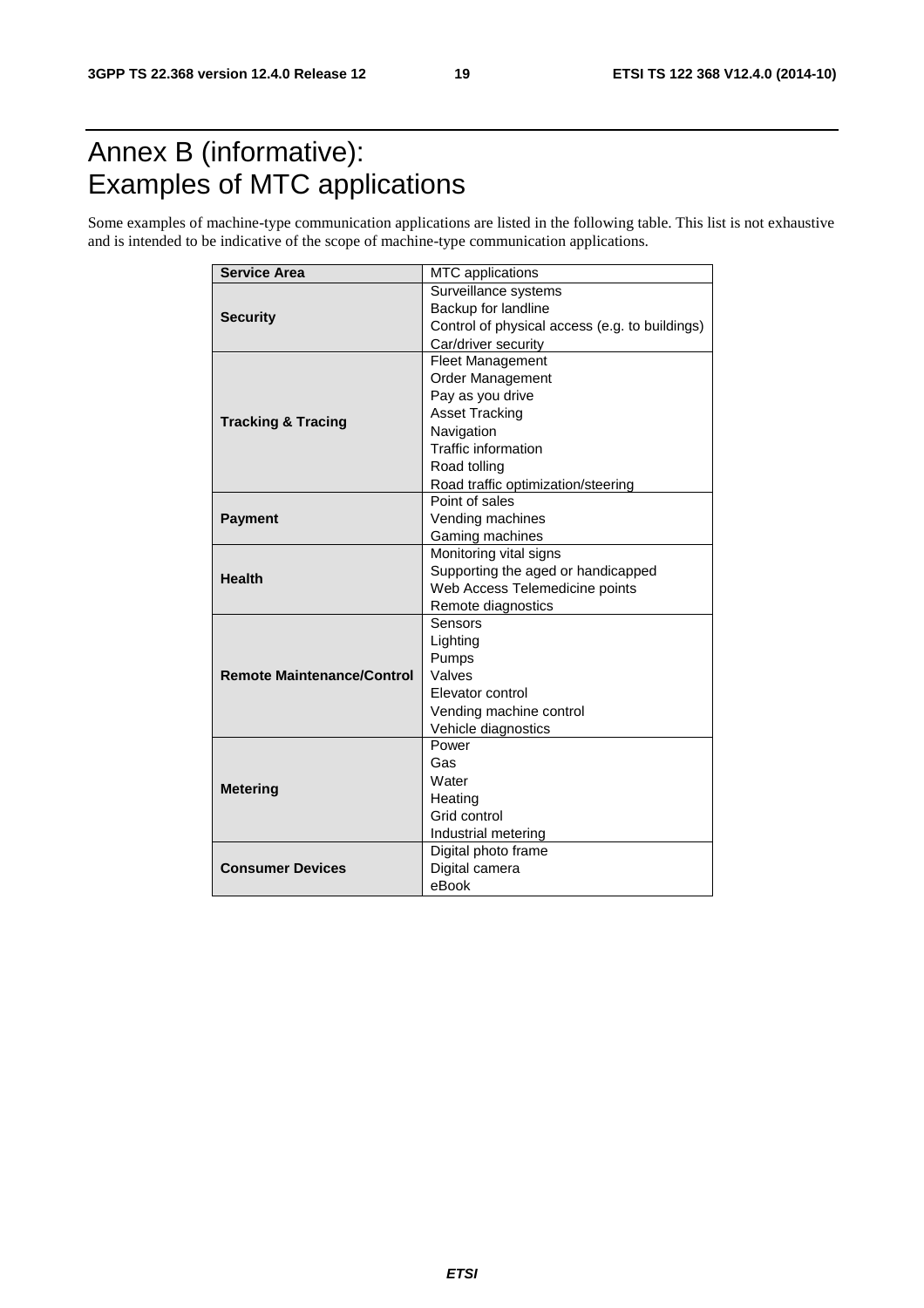### Annex B (informative): Examples of MTC applications

Some examples of machine-type communication applications are listed in the following table. This list is not exhaustive and is intended to be indicative of the scope of machine-type communication applications.

| <b>Service Area</b>               | MTC applications                               |  |  |  |  |  |
|-----------------------------------|------------------------------------------------|--|--|--|--|--|
|                                   | Surveillance systems                           |  |  |  |  |  |
|                                   | Backup for landline                            |  |  |  |  |  |
| <b>Security</b>                   | Control of physical access (e.g. to buildings) |  |  |  |  |  |
|                                   | Car/driver security                            |  |  |  |  |  |
|                                   | <b>Fleet Management</b>                        |  |  |  |  |  |
|                                   | Order Management                               |  |  |  |  |  |
|                                   | Pay as you drive                               |  |  |  |  |  |
| <b>Tracking &amp; Tracing</b>     | <b>Asset Tracking</b>                          |  |  |  |  |  |
|                                   | Navigation                                     |  |  |  |  |  |
|                                   | <b>Traffic information</b>                     |  |  |  |  |  |
|                                   | Road tolling                                   |  |  |  |  |  |
|                                   | Road traffic optimization/steering             |  |  |  |  |  |
|                                   | Point of sales                                 |  |  |  |  |  |
| <b>Payment</b>                    | Vending machines                               |  |  |  |  |  |
|                                   | Gaming machines                                |  |  |  |  |  |
|                                   | Monitoring vital signs                         |  |  |  |  |  |
| <b>Health</b>                     | Supporting the aged or handicapped             |  |  |  |  |  |
|                                   | Web Access Telemedicine points                 |  |  |  |  |  |
|                                   | Remote diagnostics                             |  |  |  |  |  |
|                                   | Sensors                                        |  |  |  |  |  |
|                                   | Lighting                                       |  |  |  |  |  |
|                                   | Pumps                                          |  |  |  |  |  |
| <b>Remote Maintenance/Control</b> | Valves                                         |  |  |  |  |  |
|                                   | Elevator control                               |  |  |  |  |  |
|                                   | Vending machine control                        |  |  |  |  |  |
|                                   | Vehicle diagnostics                            |  |  |  |  |  |
|                                   | Power                                          |  |  |  |  |  |
|                                   | Gas                                            |  |  |  |  |  |
| <b>Metering</b>                   | Water                                          |  |  |  |  |  |
|                                   | Heating                                        |  |  |  |  |  |
|                                   | Grid control                                   |  |  |  |  |  |
|                                   | Industrial metering                            |  |  |  |  |  |
|                                   | Digital photo frame                            |  |  |  |  |  |
| <b>Consumer Devices</b>           | Digital camera                                 |  |  |  |  |  |
|                                   | eBook                                          |  |  |  |  |  |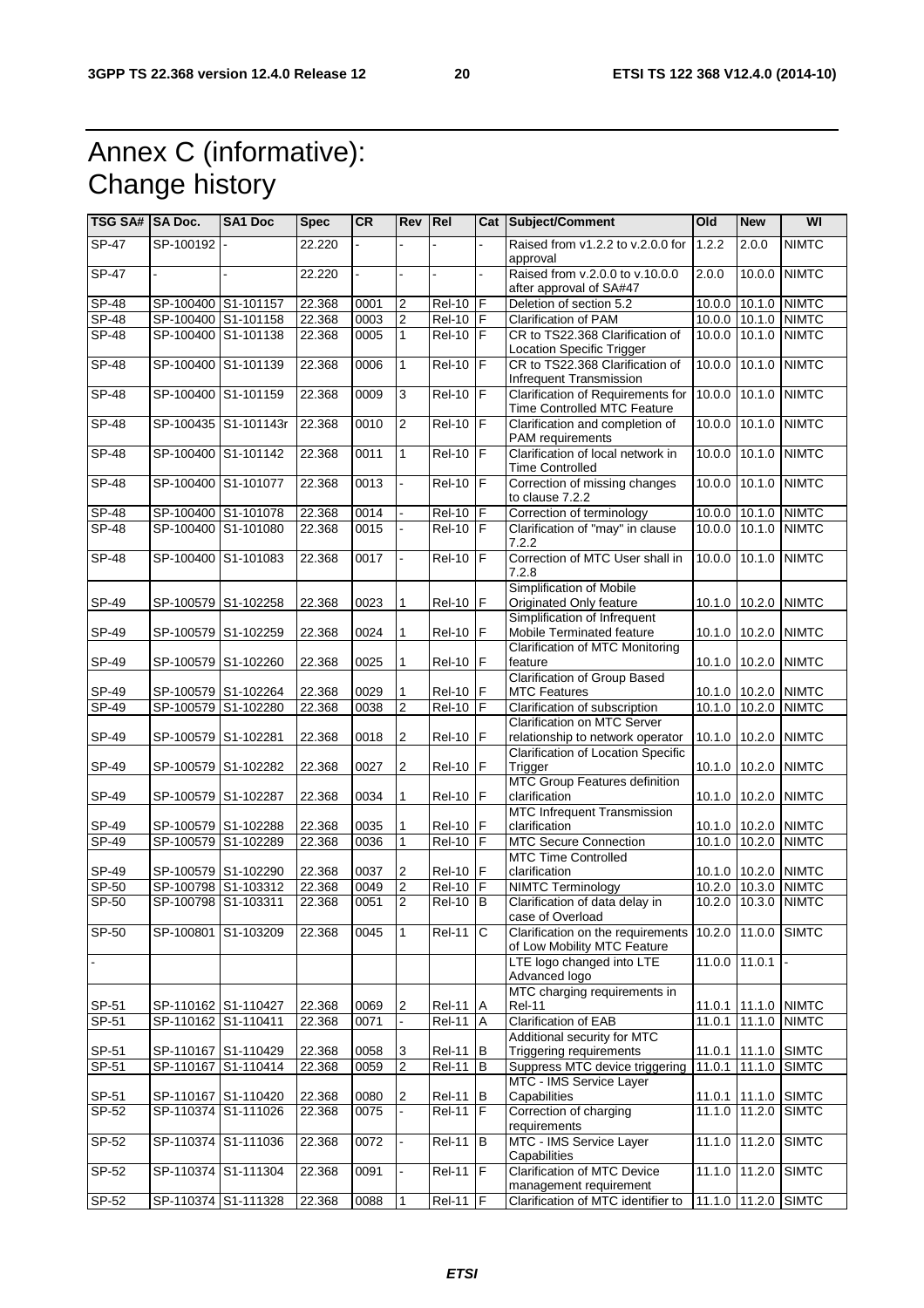## Annex C (informative): Change history

| TSG SA#  SA Doc. |                     | <b>SA1 Doc</b>       | <b>Spec</b> | <b>CR</b> | <b>Rev Rel</b>   |                     |                | Cat Subject/Comment                                              | Old             | <b>New</b>    | WI                  |
|------------------|---------------------|----------------------|-------------|-----------|------------------|---------------------|----------------|------------------------------------------------------------------|-----------------|---------------|---------------------|
| $S P-47$         | SP-100192           |                      | 22.220      |           |                  |                     |                | Raised from v1.2.2 to v.2.0.0 for<br>approval                    | 1.2.2           | 2.0.0         | <b>NIMTC</b>        |
| $SP-47$          |                     |                      | 22.220      |           |                  |                     |                | Raised from v.2.0.0 to v.10.0.0<br>after approval of SA#47       | 2.0.0           | 10.0.0        | <b>NIMTC</b>        |
| $SP-48$          | SP-100400 S1-101157 |                      | 22.368      | 0001      | 2                | <b>Rel-10</b>       | F              | Deletion of section 5.2                                          |                 | 10.0.0 10.1.0 | <b>NIMTC</b>        |
| <b>SP-48</b>     |                     | SP-100400 S1-101158  | 22.368      | 0003      | $\boldsymbol{2}$ | $Rel-10$            | F              | Clarification of PAM                                             |                 | 10.0.0 10.1.0 | <b>NIMTC</b>        |
| <b>SP-48</b>     |                     | SP-100400 S1-101138  | 22.368      | 0005      | $\mathbf{1}$     | <b>Rel-10</b>       | F              | CR to TS22.368 Clarification of<br>Location Specific Trigger     | 10.0.0 10.1.0   |               | <b>NIMTC</b>        |
| <b>SP-48</b>     |                     | SP-100400 S1-101139  | 22.368      | 0006      | $\mathbf{1}$     | <b>Rel-10</b>       | $\overline{F}$ | CR to TS22.368 Clarification of<br>Infrequent Transmission       | 10.0.0          | 10.1.0        | <b>NIMTC</b>        |
| $S P - 48$       |                     | SP-100400 S1-101159  | 22.368      | 0009      | 3                | <b>Rel-10</b>       | F              | Clarification of Requirements for<br>Time Controlled MTC Feature | 10.0.0 10.1.0   |               | <b>NIMTC</b>        |
| $SP-48$          |                     | SP-100435 S1-101143r | 22.368      | 0010      | $\overline{2}$   | <b>Rel-10</b>       | IF             | Clarification and completion of<br>PAM requirements              | 10.0.0 10.1.0   |               | <b>NIMTC</b>        |
| $S P - 48$       |                     | SP-100400 S1-101142  | 22.368      | 0011      | 1                | <b>Rel-10</b>       | F              | Clarification of local network in<br><b>Time Controlled</b>      | 10.0.0          | 10.1.0        | <b>NIMTC</b>        |
| <b>SP-48</b>     | SP-100400           | S1-101077            | 22.368      | 0013      | L.               | <b>Rel-10</b>       | F              | Correction of missing changes<br>to clause 7.2.2                 | 10.00           | 10.1.0        | <b>NIMTC</b>        |
| $SP-48$          |                     | SP-100400 S1-101078  | 22.368      | 0014      |                  | <b>Rel-10</b>       | F              | Correction of terminology                                        | $10.0.0$ 10.1.0 |               | <b>NIMTC</b>        |
| $SP-48$          |                     | SP-100400 S1-101080  | 22.368      | 0015      |                  | $Rel-10$            | F              | Clarification of "may" in clause<br>7.2.2                        | $10.0.0$ 10.1.0 |               | <b>NIMTC</b>        |
| <b>SP-48</b>     | SP-100400           | S1-101083            | 22.368      | 0017      | ä,               | <b>Rel-10</b>       | F              | Correction of MTC User shall in<br>7.2.8                         | 10.00           | 10.1.0        | <b>NIMTC</b>        |
| SP-49            |                     | SP-100579 S1-102258  | 22.368      | 0023      | 1                | <b>Rel-10</b>       | F              | Simplification of Mobile<br>Originated Only feature              |                 | 10.1.0 10.2.0 | <b>NIMTC</b>        |
| SP-49            |                     | SP-100579 S1-102259  | 22.368      | 0024      | 1                | <b>Rel-10</b>       | F              | Simplification of Infrequent<br>Mobile Terminated feature        | 10.1.0 10.2.0   |               | <b>NIMTC</b>        |
| SP-49            |                     | SP-100579 S1-102260  | 22.368      | 0025      | 1                | <b>Rel-10</b>       | F              | <b>Clarification of MTC Monitoring</b><br>feature                | 10.1.0 10.2.0   |               | <b>NIMTC</b>        |
| SP-49            |                     | SP-100579 S1-102264  | 22.368      | 0029      | 1                | <b>Rel-10</b>       | F              | <b>Clarification of Group Based</b><br><b>MTC Features</b>       |                 |               | 10.1.0 10.2.0 NIMTC |
| SP-49            |                     | SP-100579 S1-102280  | 22.368      | 0038      | $\overline{c}$   | <b>Rel-10</b>       | l F            | Clarification of subscription                                    | 10.1.0 10.2.0   |               | <b>NIMTC</b>        |
| SP-49            | SP-100579 S1-102281 |                      | 22.368      | 0018      | $\sqrt{2}$       | <b>Rel-10</b>       | F              | Clarification on MTC Server<br>relationship to network operator  |                 | 10.1.0 10.2.0 | <b>NIMTC</b>        |
| SP-49            |                     | SP-100579 S1-102282  | 22.368      | 0027      | $\overline{2}$   | <b>Rel-10</b>       | lF.            | <b>Clarification of Location Specific</b><br>Trigger             |                 |               | 10.1.0 10.2.0 NIMTC |
| SP-49            | SP-100579 S1-102287 |                      | 22.368      | 0034      | 1                | <b>Rel-10</b>       | $\mathsf F$    | <b>MTC Group Features definition</b><br>clarification            |                 | 10.1.0 10.2.0 | <b>NIMTC</b>        |
| SP-49            |                     | SP-100579 S1-102288  | 22.368      | 0035      | 1                | <b>Rel-10</b>       | F              | <b>MTC Infrequent Transmission</b><br>clarification              |                 |               | 10.1.0 10.2.0 NIMTC |
| SP-49            | SP-100579           | S1-102289            | 22.368      | 0036      | 1                | <b>Rel-10</b>       | F              | <b>MTC Secure Connection</b>                                     | 10.1.0 10.2.0   |               | <b>NIMTC</b>        |
| SP-49            |                     | SP-100579 S1-102290  | 22.368      | 0037      | $\overline{c}$   | <b>Rel-10</b>       | F              | <b>MTC Time Controlled</b><br>clarification                      |                 |               | 10.1.0 10.2.0 NIMTC |
| $SP-50$          |                     | SP-100798 S1-103312  | 22.368      | 0049      | $\overline{2}$   | $\overline{Rel-10}$ | F              | <b>NIMTC Terminology</b>                                         | 10.2.0          | 10.3.0        | <b>NIMTC</b>        |
| $SP-50$          | SP-100798 S1-103311 |                      | 22.368      | 0051      | 2                | $Rel-10$            | B              | Clarification of data delay in<br>case of Overload               | 10.2.0          | 10.3.0        | <b>NIMTC</b>        |
| SP-50            |                     | SP-100801 S1-103209  | 22.368      | 0045      | 1                | <b>Rel-11</b>       | C              | Clarification on the requirements<br>of Low Mobility MTC Feature | 10.2.0 11.0.0   |               | <b>SIMTC</b>        |
|                  |                     |                      |             |           |                  |                     |                | LTE logo changed into LTE<br>Advanced logo                       |                 | 11.0.0 11.0.1 |                     |
| SP-51            |                     | SP-110162 S1-110427  | 22.368      | 0069      | $\overline{c}$   | <b>Rel-11</b>       | A              | MTC charging requirements in<br><b>Rel-11</b>                    |                 |               | 11.0.1 11.1.0 NIMTC |
| SP-51            | SP-110162 S1-110411 |                      | 22.368      | 0071      |                  | <b>Rel-11</b>       | $\overline{A}$ | <b>Clarification of EAB</b>                                      | 11.0.1          | 11.1.0        | <b>NIMTC</b>        |
| SP-51            |                     | SP-110167 S1-110429  | 22.368      | 0058      | 3                | <b>Rel-11</b>       | В              | Additional security for MTC<br>Triggering requirements           | 11.0.1          | 11.1.0        | <b>SIMTC</b>        |
| SP-51            | SP-110167           | S1-110414            | 22.368      | 0059      | $\overline{2}$   | <b>Rel-11</b>       | B              | Suppress MTC device triggering                                   | 11.0.1          | 11.1.0        | <b>SIMTC</b>        |
| SP-51            |                     | SP-110167 S1-110420  | 22.368      | 0080      | 2                | <b>Rel-11</b>       | В              | MTC - IMS Service Laver<br>Capabilities                          |                 | 11.0.1 11.1.0 | <b>SIMTC</b>        |
| SP-52            |                     | SP-110374 S1-111026  | 22.368      | 0075      |                  | <b>Rel-11</b>       | F              | Correction of charging<br>requirements                           |                 | 11.1.0 11.2.0 | <b>SIMTC</b>        |
| $SP-52$          |                     | SP-110374 S1-111036  | 22.368      | 0072      |                  | <b>Rel-11</b>       | B              | MTC - IMS Service Layer<br>Capabilities                          | 11.1.0 11.2.0   |               | <b>SIMTC</b>        |
| SP-52            |                     | SP-110374 S1-111304  | 22.368      | 0091      |                  | <b>Rel-11</b>       | $\mathsf F$    | Clarification of MTC Device<br>management requirement            | 11.1.0 11.2.0   |               | <b>SIMTC</b>        |
| SP-52            |                     | SP-110374 S1-111328  | 22.368      | 0088      | 1                | Rel-11              | F              | Clarification of MTC identifier to                               | $11.1.0$ 11.2.0 |               | SIMTC               |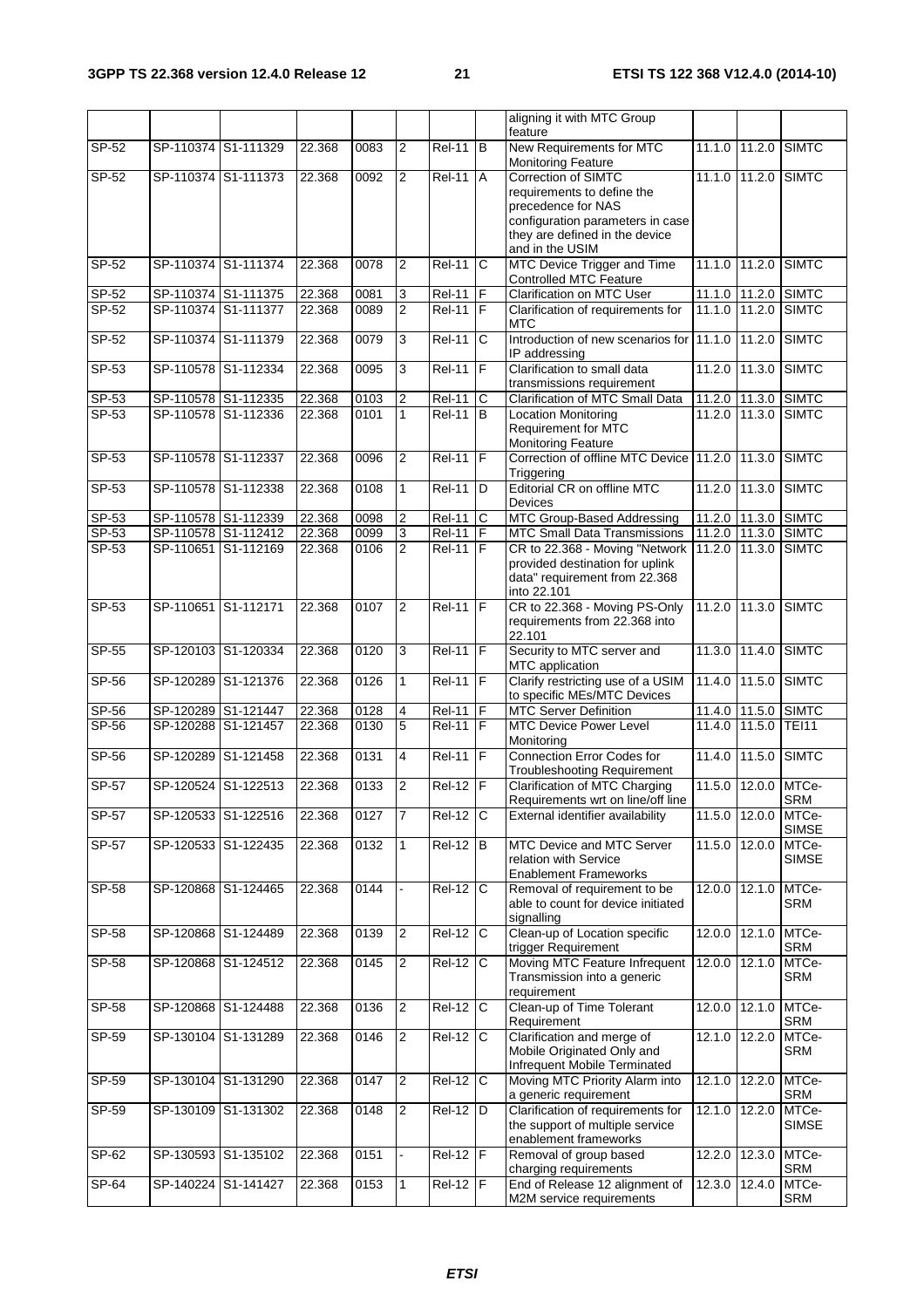|              |                     |                                            |                  |      |                |                     |                | aligning it with MTC Group                                                  |                 |        |                       |
|--------------|---------------------|--------------------------------------------|------------------|------|----------------|---------------------|----------------|-----------------------------------------------------------------------------|-----------------|--------|-----------------------|
| SP-52        |                     | SP-110374 S1-111329                        | 22.368           | 0083 | $\overline{2}$ | <b>Rel-11</b>       | B              | feature<br>New Requirements for MTC                                         | 11.1.0 11.2.0   |        | <b>SIMTC</b>          |
|              |                     |                                            |                  |      |                |                     |                | Monitoring Feature                                                          |                 |        |                       |
| SP-52        |                     | SP-110374 S1-111373                        | 22.368           | 0092 | $\overline{2}$ | <b>Rel-11</b>       | A              | Correction of SIMTC<br>requirements to define the                           | 11.1.0 11.2.0   |        | <b>SIMTC</b>          |
|              |                     |                                            |                  |      |                |                     |                | precedence for NAS                                                          |                 |        |                       |
|              |                     |                                            |                  |      |                |                     |                | configuration parameters in case                                            |                 |        |                       |
|              |                     |                                            |                  |      |                |                     |                | they are defined in the device<br>and in the USIM                           |                 |        |                       |
| SP-52        |                     | SP-110374 S1-111374                        | 22.368           | 0078 | $\overline{2}$ | <b>Rel-11</b>       | C              | MTC Device Trigger and Time<br><b>Controlled MTC Feature</b>                | 11.1.0 11.2.0   |        | <b>SIMTC</b>          |
| SP-52        |                     | SP-110374 S1-111375                        | 22.368           | 0081 | 3              | <b>Rel-11</b>       | IF             | <b>Clarification on MTC User</b>                                            | 11.1.0 11.2.0   |        | <b>SIMTC</b>          |
| SP-52        |                     | SP-110374 S1-111377                        | 22.368           | 0089 | $\overline{2}$ | $Rel-11$ $F$        |                | Clarification of requirements for                                           | 11.1.0 11.2.0   |        | <b>SIMTC</b>          |
|              |                     |                                            |                  |      |                |                     |                | <b>MTC</b>                                                                  |                 |        |                       |
| SP-52        |                     | SP-110374 S1-111379                        | 22.368           | 0079 | 3              | $\overline{Rel11}$  | C              | Introduction of new scenarios for 11.1.0 11.2.0<br>IP addressing            |                 |        | <b>SIMTC</b>          |
| SP-53        |                     | SP-110578 S1-112334                        | 22.368           | 0095 | 3              | <b>Rel-11</b>       | F              | Clarification to small data<br>transmissions requirement                    | 11.2.0 11.3.0   |        | <b>SIMTC</b>          |
| SP-53        |                     | SP-110578 S1-112335                        | 22.368           | 0103 | 2              | <b>Rel-11</b>       | С              | Clarification of MTC Small Data                                             | 11.2.0 11.3.0   |        | <b>SIMTC</b>          |
| SP-53        |                     | SP-110578 S1-112336                        | 22.368           | 0101 | 1              | $Rel-11$ B          |                | <b>Location Monitoring</b><br>Requirement for MTC                           | 11.2.0 11.3.0   |        | <b>SIMTC</b>          |
| SP-53        | SP-110578 S1-112337 |                                            | 22.368           | 0096 | 2              | <b>Rel-11</b>       | $\overline{r}$ | <b>Monitoring Feature</b><br>Correction of offline MTC Device 11.2.0 11.3.0 |                 |        | <b>SIMTC</b>          |
|              |                     |                                            |                  |      |                |                     |                | Triggering                                                                  |                 |        |                       |
| $SP-53$      |                     | SP-110578 S1-112338                        | 22.368           | 0108 | 1              | <b>Rel-11</b>       | D              | Editorial CR on offline MTC<br><b>Devices</b>                               | 11.2.0 11.3.0   |        | <b>SIMTC</b>          |
| SP-53        |                     | SP-110578 S1-112339                        | 22.368           | 0098 | 2              | <b>Rel-11</b>       | C              | MTC Group-Based Addressing                                                  |                 |        | 11.2.0 11.3.0 SIMTC   |
| SP-53        |                     | SP-110578 S1-112412<br>SP-110651 S1-112169 | 22.368<br>22.368 | 0099 | $\mathbf{3}$   | <b>Rel-11</b>       | IF             | <b>MTC Small Data Transmissions</b>                                         | 11.2.0 11.3.0   |        | <b>SIMTC</b>          |
| $SP-53$      |                     |                                            |                  | 0106 | $\overline{2}$ | <b>Rel-11</b>       | IF             | CR to 22.368 - Moving "Network<br>provided destination for uplink           | 11.2.0 11.3.0   |        | <b>SIMTC</b>          |
|              |                     |                                            |                  |      |                |                     |                | data" requirement from 22.368                                               |                 |        |                       |
|              |                     |                                            |                  |      |                |                     |                | into 22.101                                                                 |                 |        |                       |
| $SP-53$      | SP-110651 S1-112171 |                                            | 22.368           | 0107 | $\overline{c}$ | $Rel-11$ $F$        |                | CR to 22.368 - Moving PS-Only                                               | 11.2.0 11.3.0   |        | <b>SIMTC</b>          |
|              |                     |                                            |                  |      |                |                     |                | requirements from 22.368 into<br>22.101                                     |                 |        |                       |
| SP-55        |                     | SP-120103 S1-120334                        | 22.368           | 0120 | 3              | $\overline{Rel-11}$ | F              | Security to MTC server and                                                  | 11.3.0 11.4.0   |        | <b>SIMTC</b>          |
| $SP-56$      |                     | SP-120289 S1-121376                        | 22.368           | 0126 | 1              | $Rel-11$            | F              | MTC application<br>Clarify restricting use of a USIM                        | 11.4.0 11.5.0   |        | <b>SIMTC</b>          |
|              |                     |                                            |                  |      |                |                     |                | to specific MEs/MTC Devices                                                 |                 |        |                       |
| SP-56        | SP-120289 S1-121447 |                                            | 22.368           | 0128 | 4              | <b>Rel-11</b>       | F              | <b>MTC Server Definition</b>                                                | 11.4.0 11.5.0   |        | <b>SIMTC</b>          |
| SP-56        | SP-120288 S1-121457 |                                            | 22.368           | 0130 | 5              | <b>Rel-11</b>       | l F            | <b>MTC Device Power Level</b><br>Monitoring                                 | 11.4.0 11.5.0   |        | <b>TEI11</b>          |
| SP-56        |                     | SP-120289 S1-121458                        | 22.368           | 0131 | 4              | <b>Rel-11</b>       | ١F             | <b>Connection Error Codes for</b><br><b>Troubleshooting Requirement</b>     | 11.4.0          | 11.5.0 | <b>SIMTC</b>          |
| SP-57        |                     | SP-120524 S1-122513                        | 22.368           | 0133 | $\overline{2}$ | Rel-12   F          |                | Clarification of MTC Charging                                               | 11.5.0 12.0.0   |        | MTCe-                 |
|              |                     |                                            |                  |      |                |                     |                | Requirements wrt on line/off line                                           |                 |        | <b>SRM</b>            |
| SP-57        |                     | SP-120533 S1-122516                        | 22.368           | 0127 | 7              | Rel-12              | lc.            | External identifier availability                                            | 11.5.0          | 12.0.0 | MTCe-<br><b>SIMSE</b> |
| SP-57        |                     | SP-120533 S1-122435                        | 22.368           | 0132 | 1              | <b>Rel-12</b>       | IВ             | MTC Device and MTC Server                                                   | 11.5.0 12.0.0   |        | MTCe-                 |
|              |                     |                                            |                  |      |                |                     |                | relation with Service<br><b>Enablement Frameworks</b>                       |                 |        | <b>SIMSE</b>          |
| SP-58        |                     | SP-120868 S1-124465                        | 22.368           | 0144 |                | $Rel-12$ C          |                | Removal of requirement to be                                                | 12.0.0 12.1.0   |        | MTCe-                 |
|              |                     |                                            |                  |      |                |                     |                | able to count for device initiated                                          |                 |        | <b>SRM</b>            |
| SP-58        |                     | SP-120868 S1-124489                        | 22.368           | 0139 | $\overline{2}$ | <b>Rel-12</b>       | C              | signalling<br>Clean-up of Location specific                                 | 12.0.0 12.1.0   |        | MTCe-                 |
|              |                     |                                            |                  |      |                |                     |                | trigger Requirement                                                         |                 |        | SRM                   |
| SP-58        |                     | SP-120868 S1-124512                        | 22.368           | 0145 | $\overline{2}$ | $Rel-12$ C          |                | Moving MTC Feature Infrequent                                               | 12.0.0 12.1.0   |        | MTCe-                 |
|              |                     |                                            |                  |      |                |                     |                | Transmission into a generic                                                 |                 |        | <b>SRM</b>            |
| <b>SP-58</b> |                     | SP-120868 S1-124488                        | 22.368           | 0136 | 2              | $Rel-12$            | $\mathsf{C}$   | requirement<br>Clean-up of Time Tolerant                                    | $12.0.0$ 12.1.0 |        | MTCe-                 |
|              |                     |                                            |                  |      |                |                     |                | Requirement                                                                 |                 |        | SRM                   |
| SP-59        |                     | SP-130104 S1-131289                        | 22.368           | 0146 | $\overline{2}$ | $Rel-12$ C          |                | Clarification and merge of                                                  | $12.1.0$ 12.2.0 |        | MTCe-                 |
|              |                     |                                            |                  |      |                |                     |                | Mobile Originated Only and<br>Infrequent Mobile Terminated                  |                 |        | SRM                   |
| SP-59        |                     | SP-130104 S1-131290                        | 22.368           | 0147 | $\overline{2}$ | <b>Rel-12</b>       | C              | Moving MTC Priority Alarm into                                              | 12.1.0 12.2.0   |        | MTCe-                 |
|              |                     |                                            |                  |      |                |                     |                | a generic requirement                                                       |                 |        | SRM                   |
| SP-59        |                     | SP-130109 S1-131302                        | 22.368           | 0148 | $\overline{2}$ | $Rel-12$ D          |                | Clarification of requirements for                                           | 12.1.0 12.2.0   |        | MTCe-                 |
|              |                     |                                            |                  |      |                |                     |                | the support of multiple service<br>enablement frameworks                    |                 |        | <b>SIMSE</b>          |
| SP-62        |                     | SP-130593 S1-135102                        | 22.368           | 0151 |                | <b>Rel-12</b>       | $\overline{F}$ | Removal of group based                                                      | 12.2.0 12.3.0   |        | MTCe-                 |
|              |                     |                                            |                  |      |                |                     |                | charging requirements                                                       |                 |        | <b>SRM</b>            |
| SP-64        |                     | SP-140224 S1-141427                        | 22.368           | 0153 | 1              | $Rel-12$ $F$        |                | End of Release 12 alignment of<br>M2M service requirements                  | 12.3.0 12.4.0   |        | MTCe-                 |
|              |                     |                                            |                  |      |                |                     |                |                                                                             |                 |        | SRM                   |